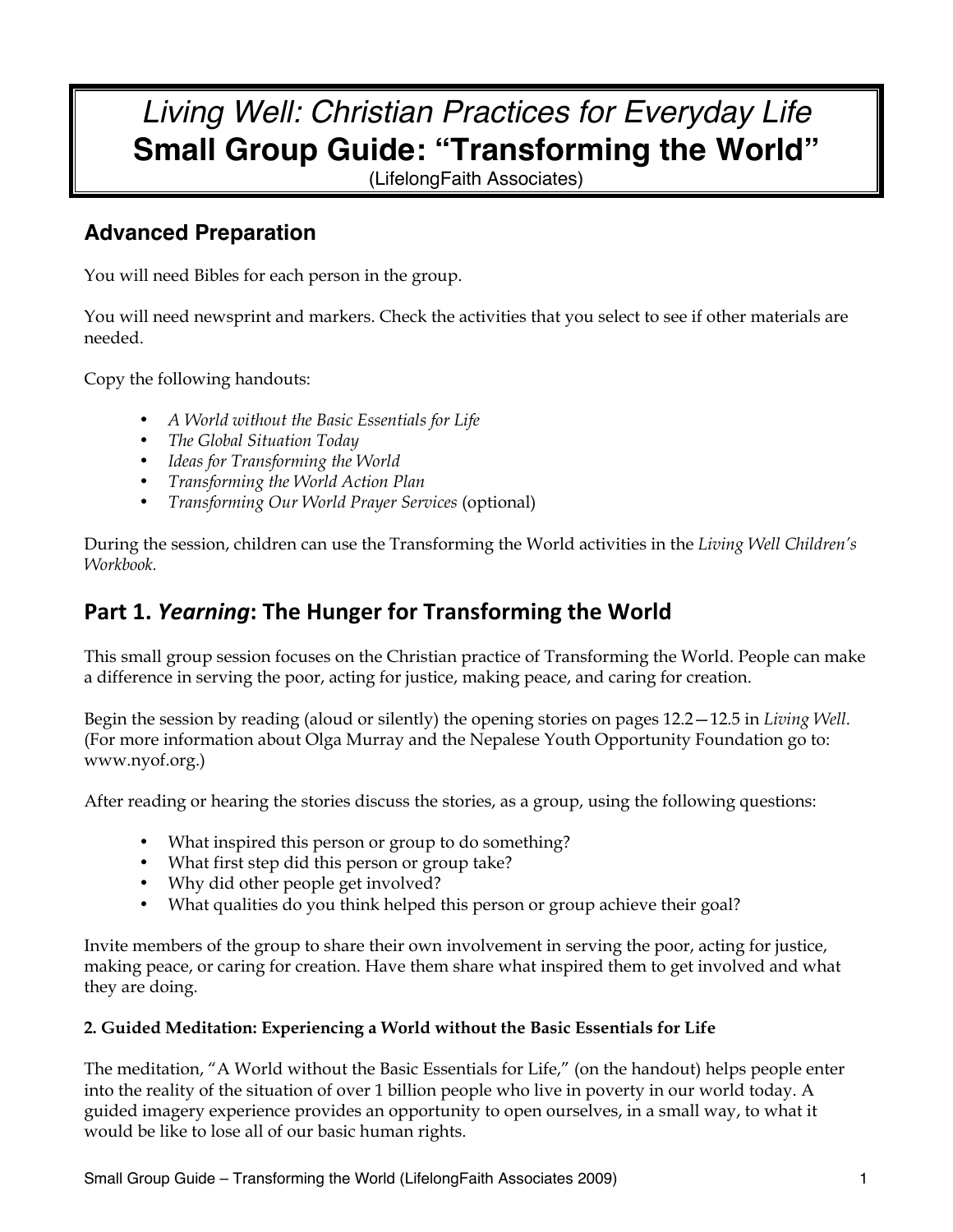# *Living Well: Christian Practices for Everyday Life* **Small Group Guide: "Transforming the World"**

(LifelongFaith Associates)

## **Advanced Preparation**

You will need Bibles for each person in the group.

You will need newsprint and markers. Check the activities that you select to see if other materials are needed.

Copy the following handouts:

- *A World without the Basic Essentials for Life*
- *The Global Situation Today*
- *Ideas for Transforming the World*
- *Transforming the World Action Plan*
- *Transforming Our World Prayer Services* (optional)

During the session, children can use the Transforming the World activities in the *Living Well Children's Workbook.* 

## Part 1. *Yearning*: The Hunger for Transforming the World

This small group session focuses on the Christian practice of Transforming the World. People can make a difference in serving the poor, acting for justice, making peace, and caring for creation.

Begin the session by reading (aloud or silently) the opening stories on pages 12.2—12.5 in *Living Well*. (For more information about Olga Murray and the Nepalese Youth Opportunity Foundation go to: www.nyof.org.)

After reading or hearing the stories discuss the stories, as a group, using the following questions:

- What inspired this person or group to do something?
- What first step did this person or group take?
- Why did other people get involved?
- What qualities do you think helped this person or group achieve their goal?

Invite members of the group to share their own involvement in serving the poor, acting for justice, making peace, or caring for creation. Have them share what inspired them to get involved and what they are doing.

#### **2. Guided Meditation: Experiencing a World without the Basic Essentials for Life**

The meditation, "A World without the Basic Essentials for Life," (on the handout) helps people enter into the reality of the situation of over 1 billion people who live in poverty in our world today. A guided imagery experience provides an opportunity to open ourselves, in a small way, to what it would be like to lose all of our basic human rights.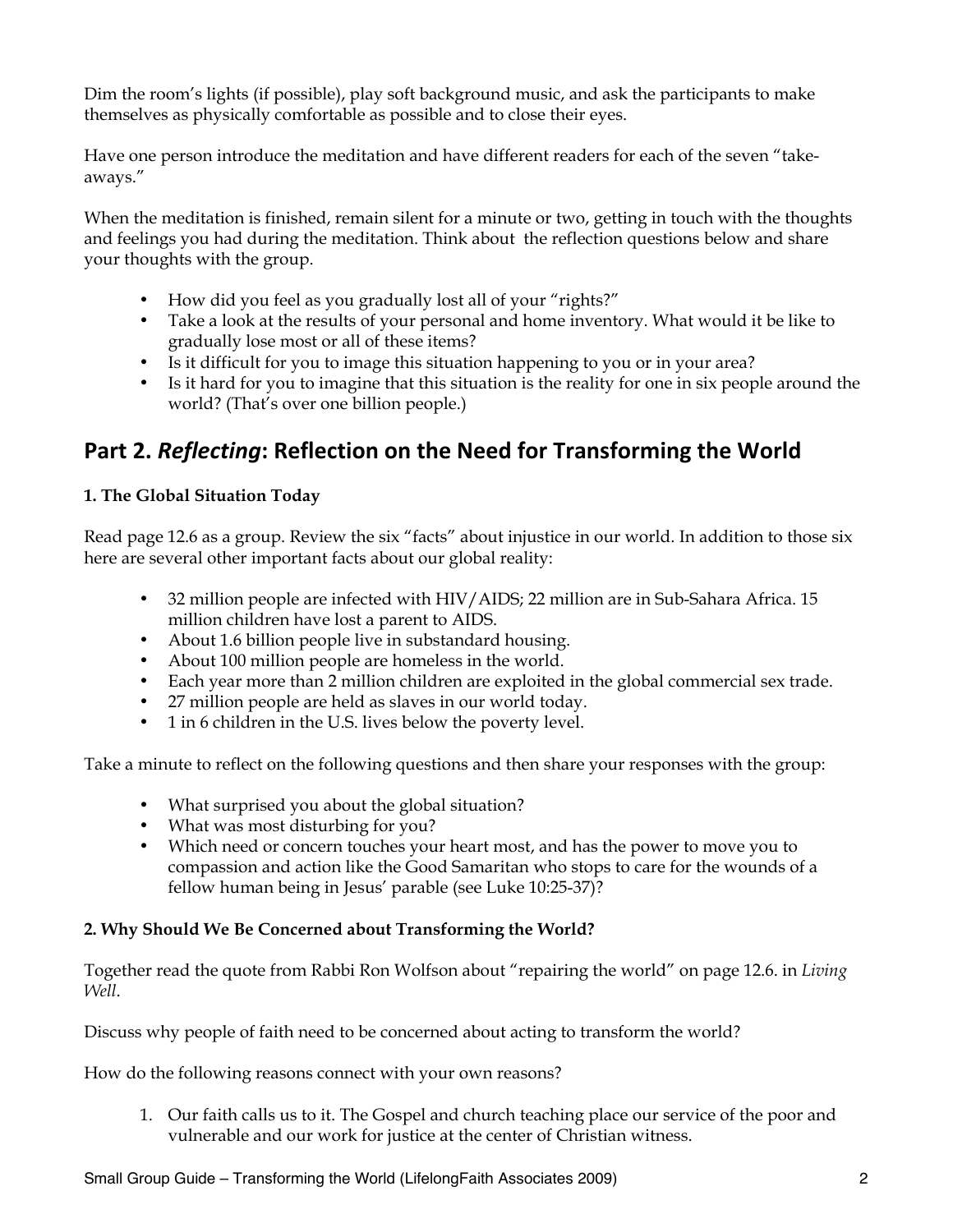Dim the room's lights (if possible), play soft background music, and ask the participants to make themselves as physically comfortable as possible and to close their eyes.

Have one person introduce the meditation and have different readers for each of the seven "takeaways."

When the meditation is finished, remain silent for a minute or two, getting in touch with the thoughts and feelings you had during the meditation. Think about the reflection questions below and share your thoughts with the group.

- How did you feel as you gradually lost all of your "rights?"
- Take a look at the results of your personal and home inventory. What would it be like to gradually lose most or all of these items?
- Is it difficult for you to image this situation happening to you or in your area?
- Is it hard for you to imagine that this situation is the reality for one in six people around the world? (That's over one billion people.)

## Part 2. Reflecting: Reflection on the Need for Transforming the World

### **1. The Global Situation Today**

Read page 12.6 as a group. Review the six "facts" about injustice in our world. In addition to those six here are several other important facts about our global reality:

- 32 million people are infected with HIV/AIDS; 22 million are in Sub-Sahara Africa. 15 million children have lost a parent to AIDS.
- About 1.6 billion people live in substandard housing.
- About 100 million people are homeless in the world.
- Each year more than 2 million children are exploited in the global commercial sex trade.
- 27 million people are held as slaves in our world today.
- 1 in 6 children in the U.S. lives below the poverty level.

Take a minute to reflect on the following questions and then share your responses with the group:

- What surprised you about the global situation?
- What was most disturbing for you?
- Which need or concern touches your heart most, and has the power to move you to compassion and action like the Good Samaritan who stops to care for the wounds of a fellow human being in Jesus' parable (see Luke 10:25-37)?

#### **2. Why Should We Be Concerned about Transforming the World?**

Together read the quote from Rabbi Ron Wolfson about "repairing the world" on page 12.6. in *Living Well*.

Discuss why people of faith need to be concerned about acting to transform the world?

How do the following reasons connect with your own reasons?

1. Our faith calls us to it. The Gospel and church teaching place our service of the poor and vulnerable and our work for justice at the center of Christian witness.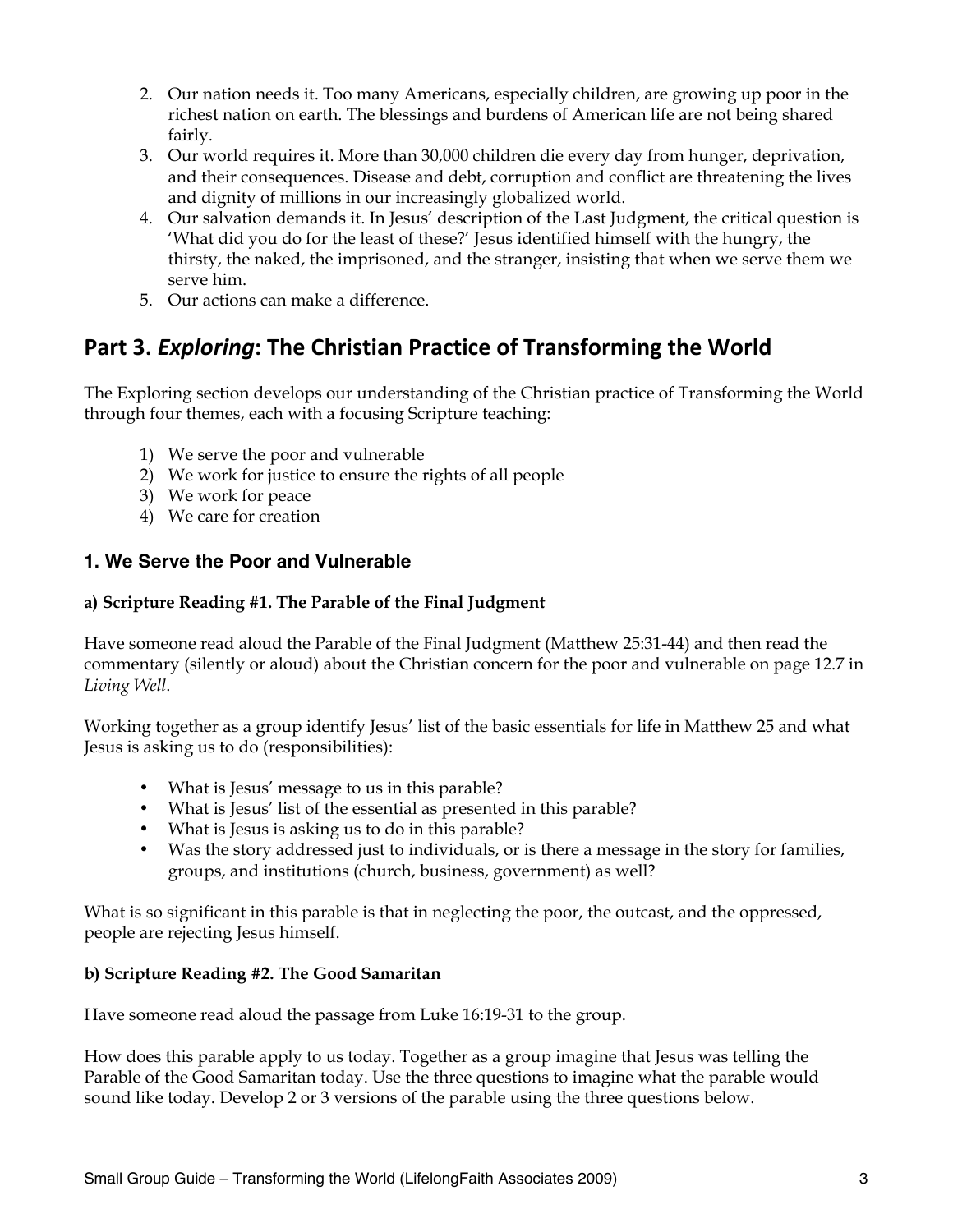- 2. Our nation needs it. Too many Americans, especially children, are growing up poor in the richest nation on earth. The blessings and burdens of American life are not being shared fairly.
- 3. Our world requires it. More than 30,000 children die every day from hunger, deprivation, and their consequences. Disease and debt, corruption and conflict are threatening the lives and dignity of millions in our increasingly globalized world.
- 4. Our salvation demands it. In Jesus' description of the Last Judgment, the critical question is 'What did you do for the least of these?' Jesus identified himself with the hungry, the thirsty, the naked, the imprisoned, and the stranger, insisting that when we serve them we serve him.
- 5. Our actions can make a difference.

## Part 3. Exploring: The Christian Practice of Transforming the World

The Exploring section develops our understanding of the Christian practice of Transforming the World through four themes, each with a focusing Scripture teaching:

- 1) We serve the poor and vulnerable
- 2) We work for justice to ensure the rights of all people
- 3) We work for peace
- 4) We care for creation

### **1. We Serve the Poor and Vulnerable**

#### **a) Scripture Reading #1. The Parable of the Final Judgment**

Have someone read aloud the Parable of the Final Judgment (Matthew 25:31-44) and then read the commentary (silently or aloud) about the Christian concern for the poor and vulnerable on page 12.7 in *Living Well*.

Working together as a group identify Jesus' list of the basic essentials for life in Matthew 25 and what Jesus is asking us to do (responsibilities):

- What is Jesus' message to us in this parable?
- What is Jesus' list of the essential as presented in this parable?
- What is Jesus is asking us to do in this parable?
- Was the story addressed just to individuals, or is there a message in the story for families, groups, and institutions (church, business, government) as well?

What is so significant in this parable is that in neglecting the poor, the outcast, and the oppressed, people are rejecting Jesus himself.

#### **b) Scripture Reading #2. The Good Samaritan**

Have someone read aloud the passage from Luke 16:19-31 to the group.

How does this parable apply to us today. Together as a group imagine that Jesus was telling the Parable of the Good Samaritan today. Use the three questions to imagine what the parable would sound like today. Develop 2 or 3 versions of the parable using the three questions below.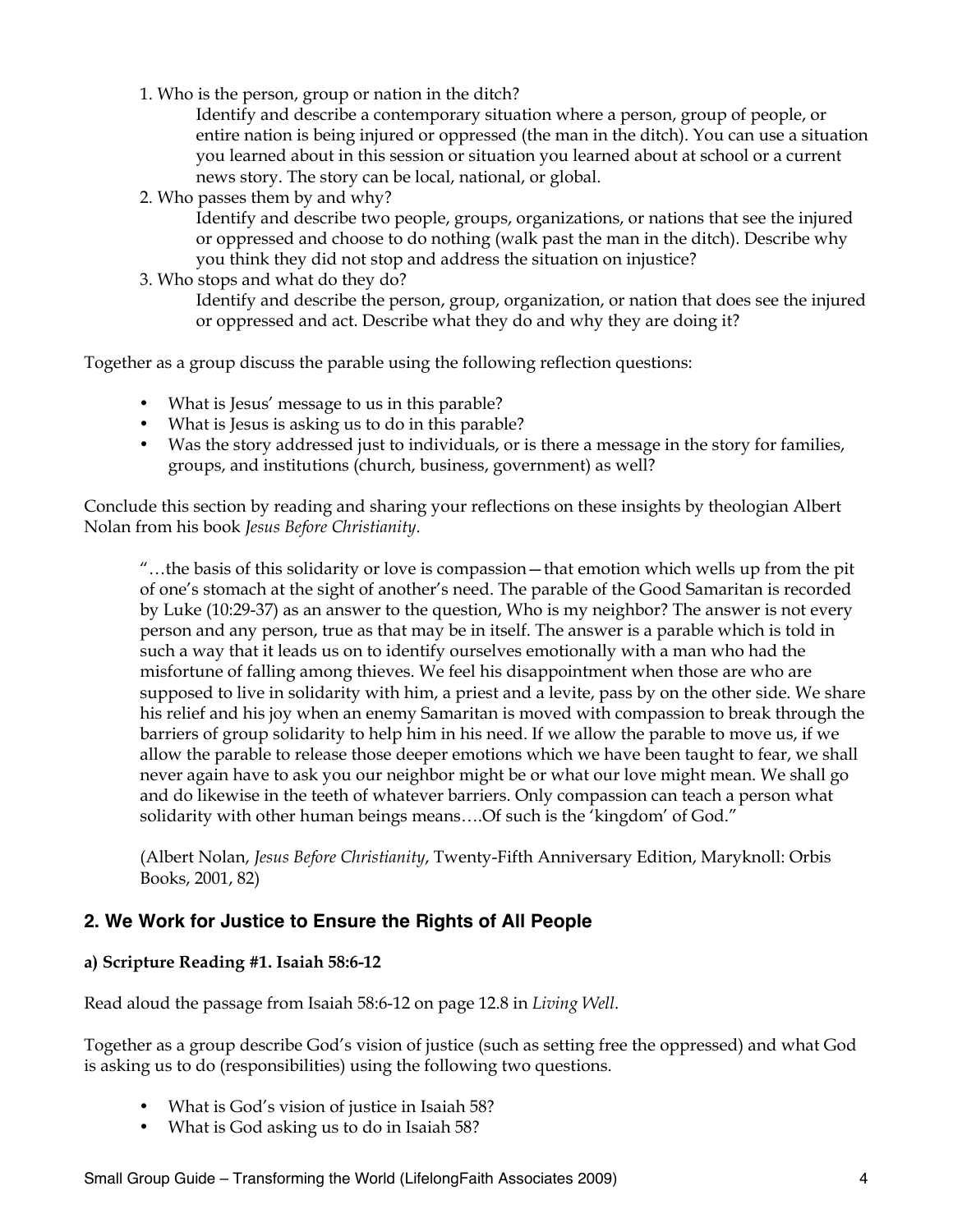1. Who is the person, group or nation in the ditch?

Identify and describe a contemporary situation where a person, group of people, or entire nation is being injured or oppressed (the man in the ditch). You can use a situation you learned about in this session or situation you learned about at school or a current news story. The story can be local, national, or global.

2. Who passes them by and why?

Identify and describe two people, groups, organizations, or nations that see the injured or oppressed and choose to do nothing (walk past the man in the ditch). Describe why you think they did not stop and address the situation on injustice?

3. Who stops and what do they do?

Identify and describe the person, group, organization, or nation that does see the injured or oppressed and act. Describe what they do and why they are doing it?

Together as a group discuss the parable using the following reflection questions:

- What is Jesus' message to us in this parable?
- What is Jesus is asking us to do in this parable?
- Was the story addressed just to individuals, or is there a message in the story for families, groups, and institutions (church, business, government) as well?

Conclude this section by reading and sharing your reflections on these insights by theologian Albert Nolan from his book *Jesus Before Christianity*.

"…the basis of this solidarity or love is compassion—that emotion which wells up from the pit of one's stomach at the sight of another's need. The parable of the Good Samaritan is recorded by Luke (10:29-37) as an answer to the question, Who is my neighbor? The answer is not every person and any person, true as that may be in itself. The answer is a parable which is told in such a way that it leads us on to identify ourselves emotionally with a man who had the misfortune of falling among thieves. We feel his disappointment when those are who are supposed to live in solidarity with him, a priest and a levite, pass by on the other side. We share his relief and his joy when an enemy Samaritan is moved with compassion to break through the barriers of group solidarity to help him in his need. If we allow the parable to move us, if we allow the parable to release those deeper emotions which we have been taught to fear, we shall never again have to ask you our neighbor might be or what our love might mean. We shall go and do likewise in the teeth of whatever barriers. Only compassion can teach a person what solidarity with other human beings means….Of such is the 'kingdom' of God."

(Albert Nolan, *Jesus Before Christianity*, Twenty-Fifth Anniversary Edition, Maryknoll: Orbis Books, 2001, 82)

#### **2. We Work for Justice to Ensure the Rights of All People**

#### **a) Scripture Reading #1. Isaiah 58:6-12**

Read aloud the passage from Isaiah 58:6-12 on page 12.8 in *Living Well*.

Together as a group describe God's vision of justice (such as setting free the oppressed) and what God is asking us to do (responsibilities) using the following two questions.

- What is God's vision of justice in Isaiah 58?
- What is God asking us to do in Isaiah 58?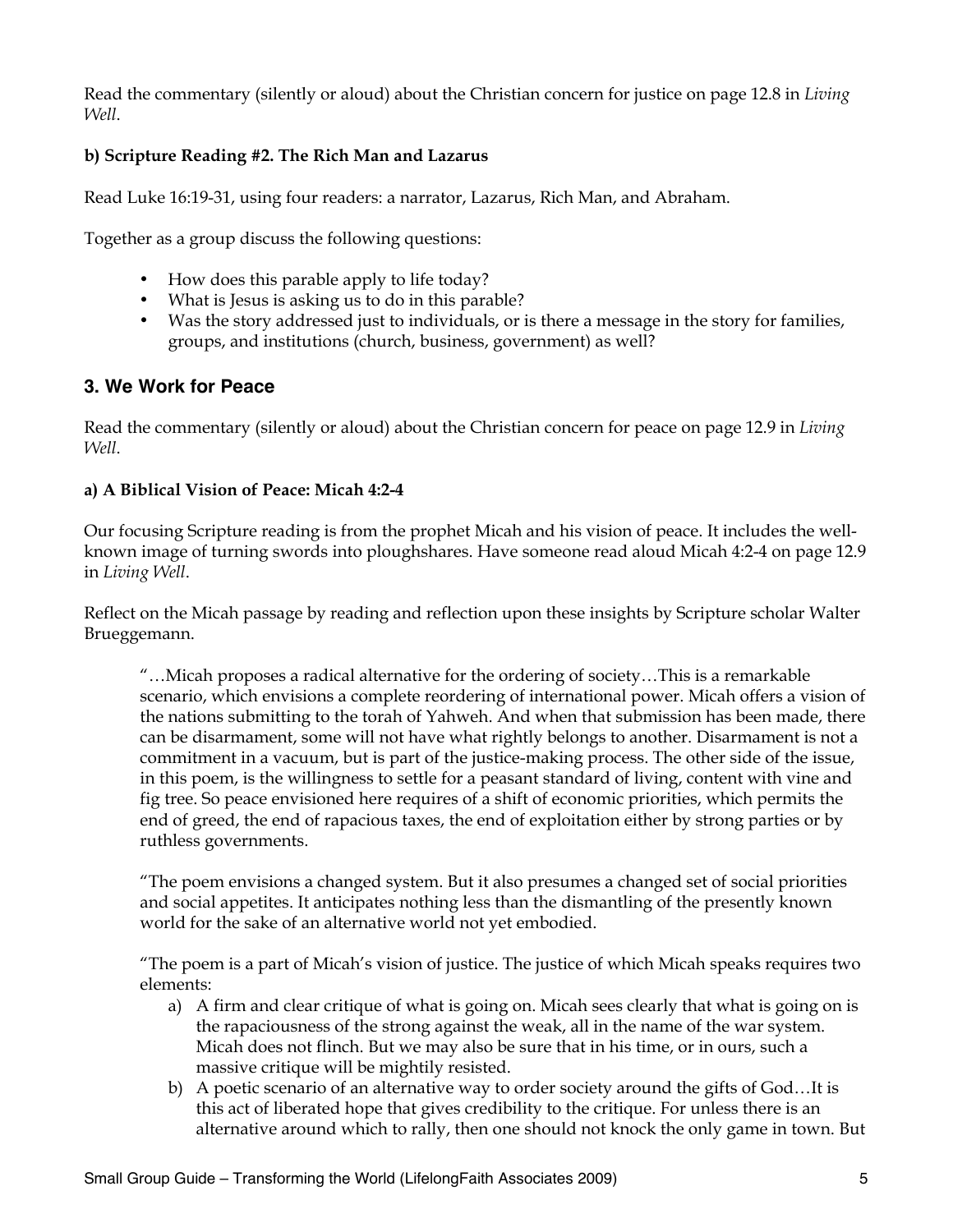Read the commentary (silently or aloud) about the Christian concern for justice on page 12.8 in *Living Well*.

#### **b) Scripture Reading #2. The Rich Man and Lazarus**

Read Luke 16:19-31, using four readers: a narrator, Lazarus, Rich Man, and Abraham.

Together as a group discuss the following questions:

- How does this parable apply to life today?
- What is Jesus is asking us to do in this parable?
- Was the story addressed just to individuals, or is there a message in the story for families, groups, and institutions (church, business, government) as well?

#### **3. We Work for Peace**

Read the commentary (silently or aloud) about the Christian concern for peace on page 12.9 in *Living Well*.

#### **a) A Biblical Vision of Peace: Micah 4:2-4**

Our focusing Scripture reading is from the prophet Micah and his vision of peace. It includes the wellknown image of turning swords into ploughshares. Have someone read aloud Micah 4:2-4 on page 12.9 in *Living Well*.

Reflect on the Micah passage by reading and reflection upon these insights by Scripture scholar Walter Brueggemann.

"…Micah proposes a radical alternative for the ordering of society…This is a remarkable scenario, which envisions a complete reordering of international power. Micah offers a vision of the nations submitting to the torah of Yahweh. And when that submission has been made, there can be disarmament, some will not have what rightly belongs to another. Disarmament is not a commitment in a vacuum, but is part of the justice-making process. The other side of the issue, in this poem, is the willingness to settle for a peasant standard of living, content with vine and fig tree. So peace envisioned here requires of a shift of economic priorities, which permits the end of greed, the end of rapacious taxes, the end of exploitation either by strong parties or by ruthless governments.

"The poem envisions a changed system. But it also presumes a changed set of social priorities and social appetites. It anticipates nothing less than the dismantling of the presently known world for the sake of an alternative world not yet embodied.

"The poem is a part of Micah's vision of justice. The justice of which Micah speaks requires two elements:

- a) A firm and clear critique of what is going on. Micah sees clearly that what is going on is the rapaciousness of the strong against the weak, all in the name of the war system. Micah does not flinch. But we may also be sure that in his time, or in ours, such a massive critique will be mightily resisted.
- b) A poetic scenario of an alternative way to order society around the gifts of God…It is this act of liberated hope that gives credibility to the critique. For unless there is an alternative around which to rally, then one should not knock the only game in town. But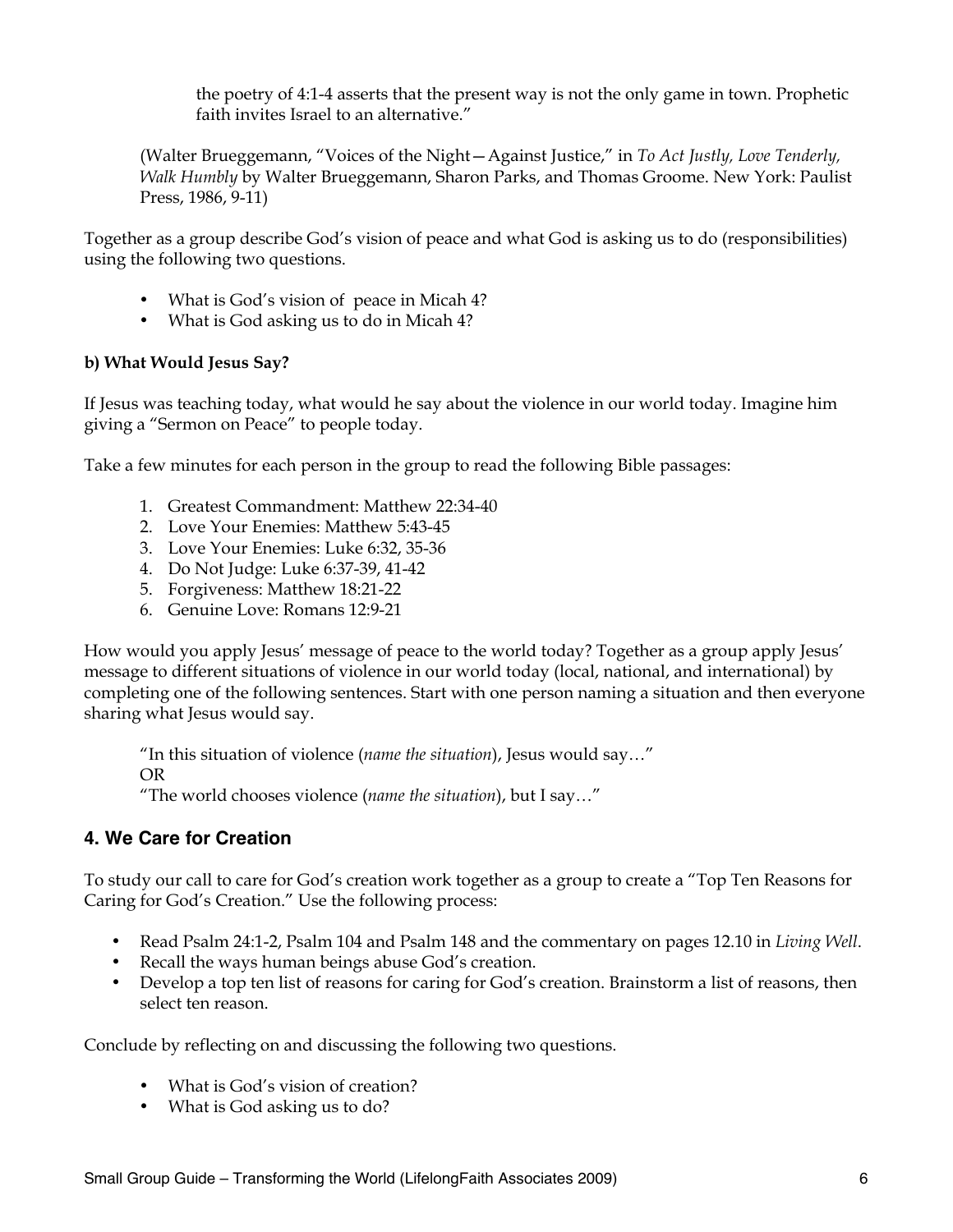the poetry of 4:1-4 asserts that the present way is not the only game in town. Prophetic faith invites Israel to an alternative."

(Walter Brueggemann, "Voices of the Night—Against Justice," in *To Act Justly, Love Tenderly, Walk Humbly* by Walter Brueggemann, Sharon Parks, and Thomas Groome. New York: Paulist Press, 1986, 9-11)

Together as a group describe God's vision of peace and what God is asking us to do (responsibilities) using the following two questions.

- What is God's vision of peace in Micah 4?
- What is God asking us to do in Micah 4?

#### **b) What Would Jesus Say?**

If Jesus was teaching today, what would he say about the violence in our world today. Imagine him giving a "Sermon on Peace" to people today.

Take a few minutes for each person in the group to read the following Bible passages:

- 1. Greatest Commandment: Matthew 22:34-40
- 2. Love Your Enemies: Matthew 5:43-45
- 3. Love Your Enemies: Luke 6:32, 35-36
- 4. Do Not Judge: Luke 6:37-39, 41-42
- 5. Forgiveness: Matthew 18:21-22
- 6. Genuine Love: Romans 12:9-21

How would you apply Jesus' message of peace to the world today? Together as a group apply Jesus' message to different situations of violence in our world today (local, national, and international) by completing one of the following sentences. Start with one person naming a situation and then everyone sharing what Jesus would say.

"In this situation of violence (*name the situation*), Jesus would say…" OR "The world chooses violence (*name the situation*), but I say…"

#### **4. We Care for Creation**

To study our call to care for God's creation work together as a group to create a "Top Ten Reasons for Caring for God's Creation." Use the following process:

- Read Psalm 24:1-2, Psalm 104 and Psalm 148 and the commentary on pages 12.10 in *Living Well*.
- Recall the ways human beings abuse God's creation.
- Develop a top ten list of reasons for caring for God's creation. Brainstorm a list of reasons, then select ten reason.

Conclude by reflecting on and discussing the following two questions.

- What is God's vision of creation?
- What is God asking us to do?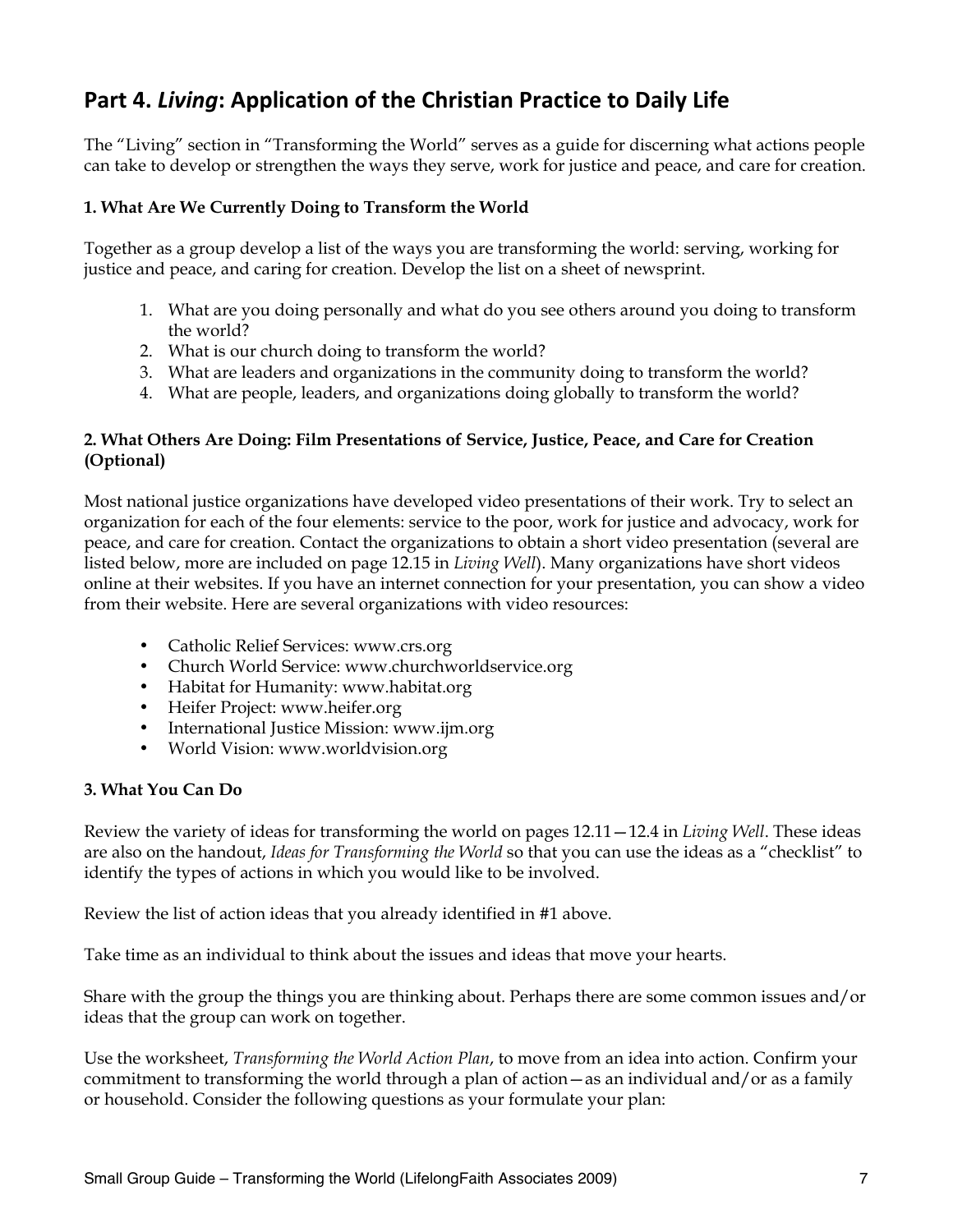## Part 4. Living: Application of the Christian Practice to Daily Life

The "Living" section in "Transforming the World" serves as a guide for discerning what actions people can take to develop or strengthen the ways they serve, work for justice and peace, and care for creation.

#### **1. What Are We Currently Doing to Transform the World**

Together as a group develop a list of the ways you are transforming the world: serving, working for justice and peace, and caring for creation. Develop the list on a sheet of newsprint.

- 1. What are you doing personally and what do you see others around you doing to transform the world?
- 2. What is our church doing to transform the world?
- 3. What are leaders and organizations in the community doing to transform the world?
- 4. What are people, leaders, and organizations doing globally to transform the world?

#### **2. What Others Are Doing: Film Presentations of Service, Justice, Peace, and Care for Creation (Optional)**

Most national justice organizations have developed video presentations of their work. Try to select an organization for each of the four elements: service to the poor, work for justice and advocacy, work for peace, and care for creation. Contact the organizations to obtain a short video presentation (several are listed below, more are included on page 12.15 in *Living Well*). Many organizations have short videos online at their websites. If you have an internet connection for your presentation, you can show a video from their website. Here are several organizations with video resources:

- Catholic Relief Services: www.crs.org
- Church World Service: www.churchworldservice.org
- Habitat for Humanity: www.habitat.org
- Heifer Project: www.heifer.org
- International Justice Mission: www.ijm.org
- World Vision: www.worldvision.org

#### **3. What You Can Do**

Review the variety of ideas for transforming the world on pages 12.11—12.4 in *Living Well*. These ideas are also on the handout, *Ideas for Transforming the World* so that you can use the ideas as a "checklist" to identify the types of actions in which you would like to be involved.

Review the list of action ideas that you already identified in #1 above.

Take time as an individual to think about the issues and ideas that move your hearts.

Share with the group the things you are thinking about. Perhaps there are some common issues and/or ideas that the group can work on together.

Use the worksheet, *Transforming the World Action Plan*, to move from an idea into action. Confirm your commitment to transforming the world through a plan of action—as an individual and/or as a family or household. Consider the following questions as your formulate your plan: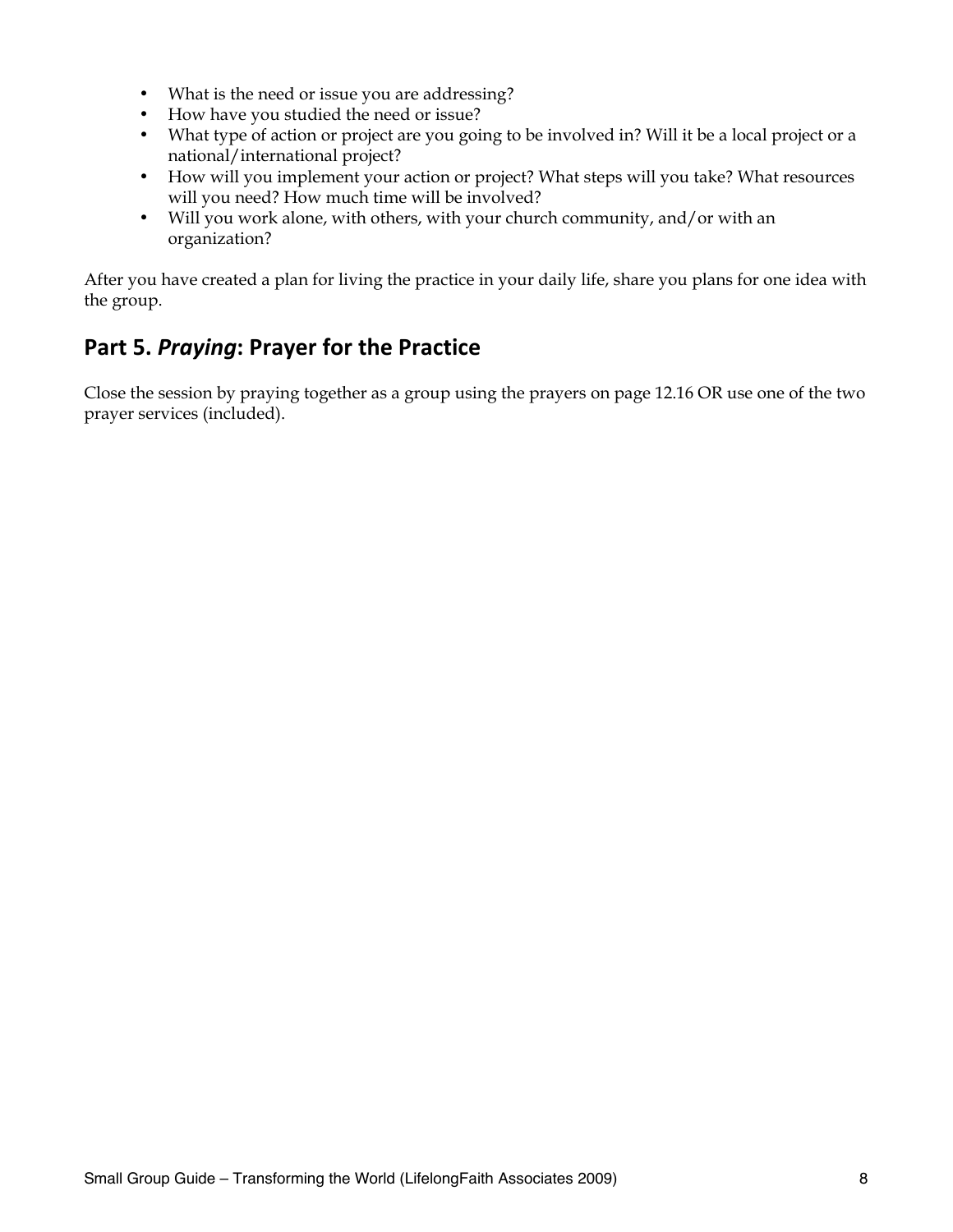- What is the need or issue you are addressing?
- How have you studied the need or issue?
- What type of action or project are you going to be involved in? Will it be a local project or a national/international project?
- How will you implement your action or project? What steps will you take? What resources will you need? How much time will be involved?
- Will you work alone, with others, with your church community, and/or with an organization?

After you have created a plan for living the practice in your daily life, share you plans for one idea with the group.

### Part 5. *Praying*: Prayer for the Practice

Close the session by praying together as a group using the prayers on page 12.16 OR use one of the two prayer services (included).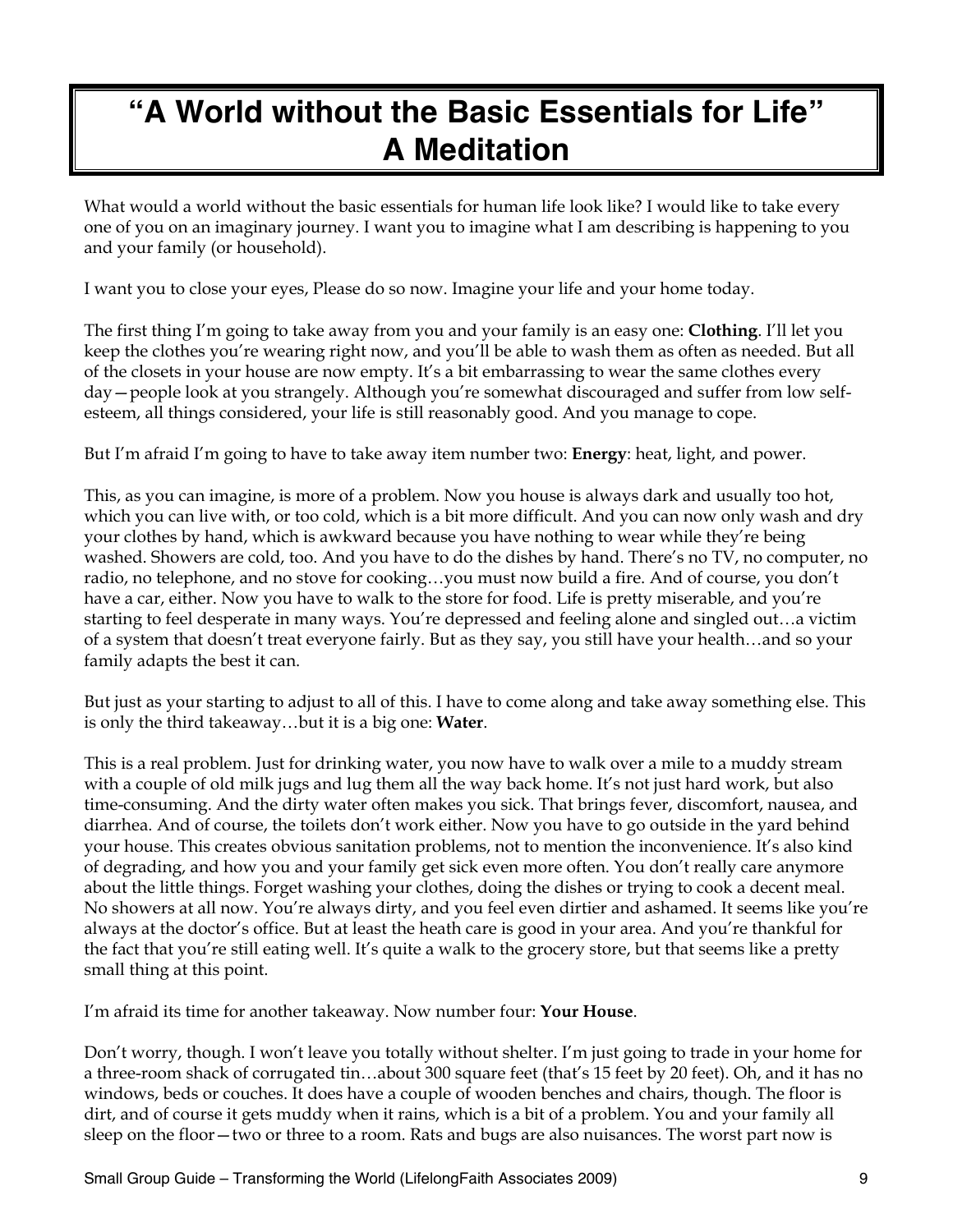# **"A World without the Basic Essentials for Life" A Meditation**

What would a world without the basic essentials for human life look like? I would like to take every one of you on an imaginary journey. I want you to imagine what I am describing is happening to you and your family (or household).

I want you to close your eyes, Please do so now. Imagine your life and your home today.

The first thing I'm going to take away from you and your family is an easy one: **Clothing**. I'll let you keep the clothes you're wearing right now, and you'll be able to wash them as often as needed. But all of the closets in your house are now empty. It's a bit embarrassing to wear the same clothes every day—people look at you strangely. Although you're somewhat discouraged and suffer from low selfesteem, all things considered, your life is still reasonably good. And you manage to cope.

But I'm afraid I'm going to have to take away item number two: **Energy**: heat, light, and power.

This, as you can imagine, is more of a problem. Now you house is always dark and usually too hot, which you can live with, or too cold, which is a bit more difficult. And you can now only wash and dry your clothes by hand, which is awkward because you have nothing to wear while they're being washed. Showers are cold, too. And you have to do the dishes by hand. There's no TV, no computer, no radio, no telephone, and no stove for cooking…you must now build a fire. And of course, you don't have a car, either. Now you have to walk to the store for food. Life is pretty miserable, and you're starting to feel desperate in many ways. You're depressed and feeling alone and singled out…a victim of a system that doesn't treat everyone fairly. But as they say, you still have your health…and so your family adapts the best it can.

But just as your starting to adjust to all of this. I have to come along and take away something else. This is only the third takeaway…but it is a big one: **Water**.

This is a real problem. Just for drinking water, you now have to walk over a mile to a muddy stream with a couple of old milk jugs and lug them all the way back home. It's not just hard work, but also time-consuming. And the dirty water often makes you sick. That brings fever, discomfort, nausea, and diarrhea. And of course, the toilets don't work either. Now you have to go outside in the yard behind your house. This creates obvious sanitation problems, not to mention the inconvenience. It's also kind of degrading, and how you and your family get sick even more often. You don't really care anymore about the little things. Forget washing your clothes, doing the dishes or trying to cook a decent meal. No showers at all now. You're always dirty, and you feel even dirtier and ashamed. It seems like you're always at the doctor's office. But at least the heath care is good in your area. And you're thankful for the fact that you're still eating well. It's quite a walk to the grocery store, but that seems like a pretty small thing at this point.

I'm afraid its time for another takeaway. Now number four: **Your House**.

Don't worry, though. I won't leave you totally without shelter. I'm just going to trade in your home for a three-room shack of corrugated tin…about 300 square feet (that's 15 feet by 20 feet). Oh, and it has no windows, beds or couches. It does have a couple of wooden benches and chairs, though. The floor is dirt, and of course it gets muddy when it rains, which is a bit of a problem. You and your family all sleep on the floor—two or three to a room. Rats and bugs are also nuisances. The worst part now is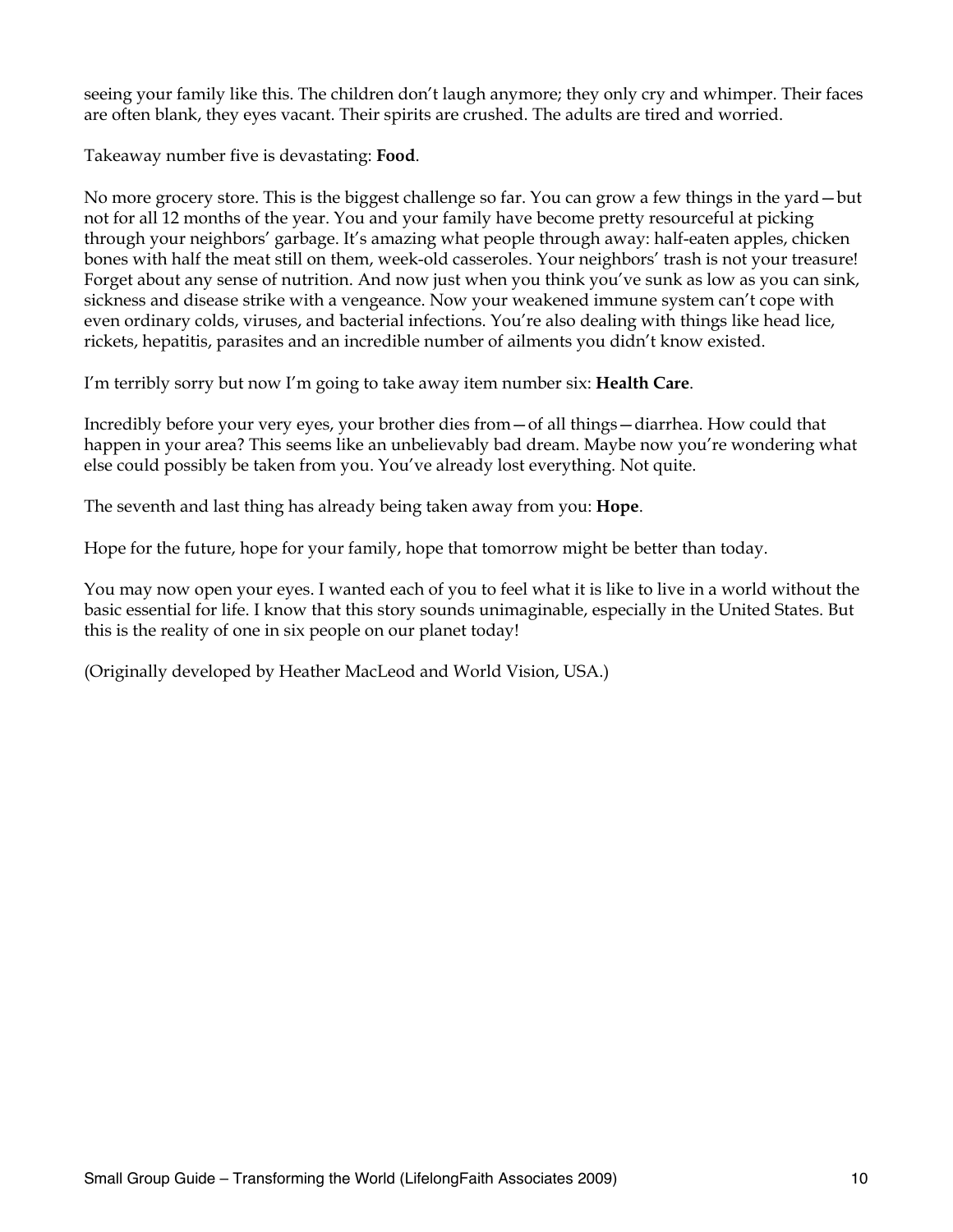seeing your family like this. The children don't laugh anymore; they only cry and whimper. Their faces are often blank, they eyes vacant. Their spirits are crushed. The adults are tired and worried.

Takeaway number five is devastating: **Food**.

No more grocery store. This is the biggest challenge so far. You can grow a few things in the yard—but not for all 12 months of the year. You and your family have become pretty resourceful at picking through your neighbors' garbage. It's amazing what people through away: half-eaten apples, chicken bones with half the meat still on them, week-old casseroles. Your neighbors' trash is not your treasure! Forget about any sense of nutrition. And now just when you think you've sunk as low as you can sink, sickness and disease strike with a vengeance. Now your weakened immune system can't cope with even ordinary colds, viruses, and bacterial infections. You're also dealing with things like head lice, rickets, hepatitis, parasites and an incredible number of ailments you didn't know existed.

I'm terribly sorry but now I'm going to take away item number six: **Health Care**.

Incredibly before your very eyes, your brother dies from—of all things—diarrhea. How could that happen in your area? This seems like an unbelievably bad dream. Maybe now you're wondering what else could possibly be taken from you. You've already lost everything. Not quite.

The seventh and last thing has already being taken away from you: **Hope**.

Hope for the future, hope for your family, hope that tomorrow might be better than today.

You may now open your eyes. I wanted each of you to feel what it is like to live in a world without the basic essential for life. I know that this story sounds unimaginable, especially in the United States. But this is the reality of one in six people on our planet today!

(Originally developed by Heather MacLeod and World Vision, USA.)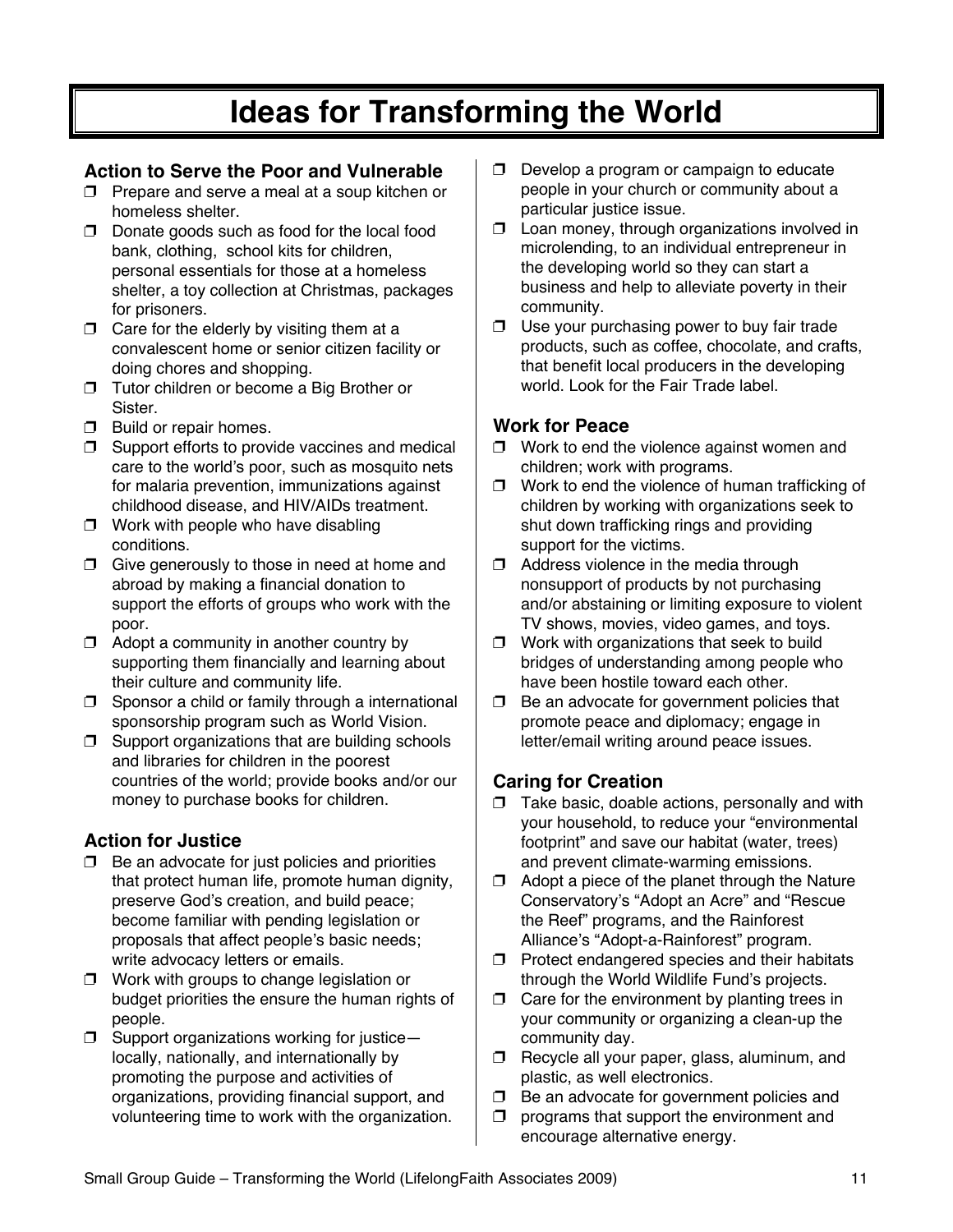# **Ideas for Transforming the World**

### **Action to Serve the Poor and Vulnerable**

- $\Box$  Prepare and serve a meal at a soup kitchen or homeless shelter.
- $\Box$  Donate goods such as food for the local food bank, clothing, school kits for children, personal essentials for those at a homeless shelter, a toy collection at Christmas, packages for prisoners.
- $\Box$  Care for the elderly by visiting them at a convalescent home or senior citizen facility or doing chores and shopping.
- **T** Tutor children or become a Big Brother or **Sister**
- $\Box$  Build or repair homes.
- $\square$  Support efforts to provide vaccines and medical care to the world's poor, such as mosquito nets for malaria prevention, immunizations against childhood disease, and HIV/AIDs treatment.
- $\Box$  Work with people who have disabling conditions.
- $\Box$  Give generously to those in need at home and abroad by making a financial donation to support the efforts of groups who work with the poor.
- $\Box$  Adopt a community in another country by supporting them financially and learning about their culture and community life.
- $\square$  Sponsor a child or family through a international sponsorship program such as World Vision.
- $\Box$  Support organizations that are building schools and libraries for children in the poorest countries of the world; provide books and/or our money to purchase books for children.

### **Action for Justice**

- $\Box$  Be an advocate for just policies and priorities that protect human life, promote human dignity, preserve God's creation, and build peace; become familiar with pending legislation or proposals that affect people's basic needs; write advocacy letters or emails.
- $\Box$  Work with groups to change legislation or budget priorities the ensure the human rights of people.
- $\square$  Support organizations working for justice locally, nationally, and internationally by promoting the purpose and activities of organizations, providing financial support, and volunteering time to work with the organization.
- $\Box$  Develop a program or campaign to educate people in your church or community about a particular justice issue.
- $\Box$  Loan money, through organizations involved in microlending, to an individual entrepreneur in the developing world so they can start a business and help to alleviate poverty in their community.
- $\Box$  Use your purchasing power to buy fair trade products, such as coffee, chocolate, and crafts, that benefit local producers in the developing world. Look for the Fair Trade label.

### **Work for Peace**

- $\Box$  Work to end the violence against women and children; work with programs.
- $\Box$  Work to end the violence of human trafficking of children by working with organizations seek to shut down trafficking rings and providing support for the victims.
- $\Box$  Address violence in the media through nonsupport of products by not purchasing and/or abstaining or limiting exposure to violent TV shows, movies, video games, and toys.
- $\Box$  Work with organizations that seek to build bridges of understanding among people who have been hostile toward each other.
- $\Box$  Be an advocate for government policies that promote peace and diplomacy; engage in letter/email writing around peace issues.

### **Caring for Creation**

- $\Box$  Take basic, doable actions, personally and with your household, to reduce your "environmental footprint" and save our habitat (water, trees) and prevent climate-warming emissions.
- $\Box$  Adopt a piece of the planet through the Nature Conservatory's "Adopt an Acre" and "Rescue the Reef" programs, and the Rainforest Alliance's "Adopt-a-Rainforest" program.
- $\Box$  Protect endangered species and their habitats through the World Wildlife Fund's projects.
- $\Box$  Care for the environment by planting trees in your community or organizing a clean-up the community day.
- $\Box$  Recycle all your paper, glass, aluminum, and plastic, as well electronics.
- $\Box$  Be an advocate for government policies and
- $\Box$  programs that support the environment and encourage alternative energy.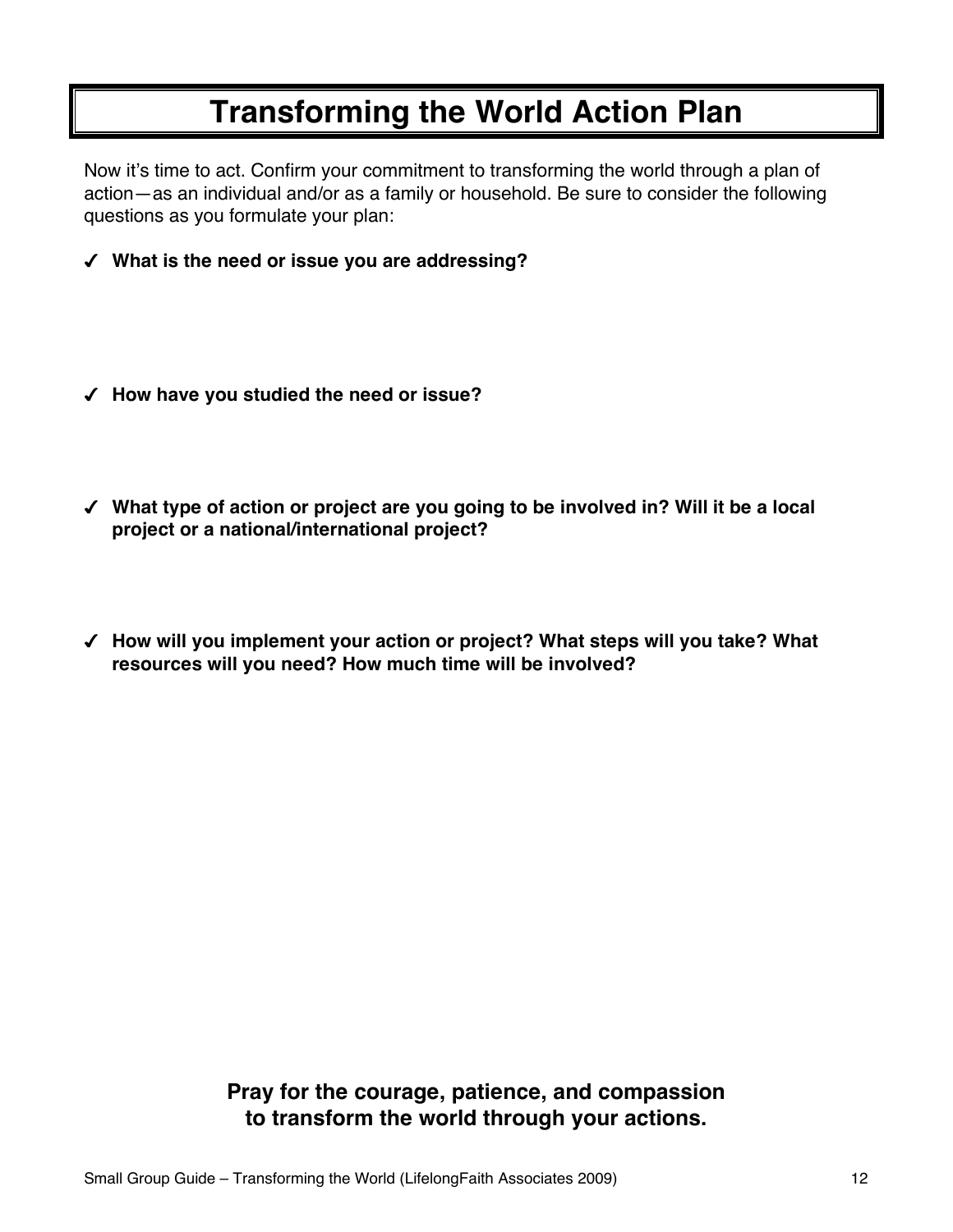# **Transforming the World Action Plan**

Now it's time to act. Confirm your commitment to transforming the world through a plan of action—as an individual and/or as a family or household. Be sure to consider the following questions as you formulate your plan:

- **What is the need or issue you are addressing?**
- **How have you studied the need or issue?**
- **What type of action or project are you going to be involved in? Will it be a local project or a national/international project?**
- **How will you implement your action or project? What steps will you take? What resources will you need? How much time will be involved?**

**Pray for the courage, patience, and compassion to transform the world through your actions.**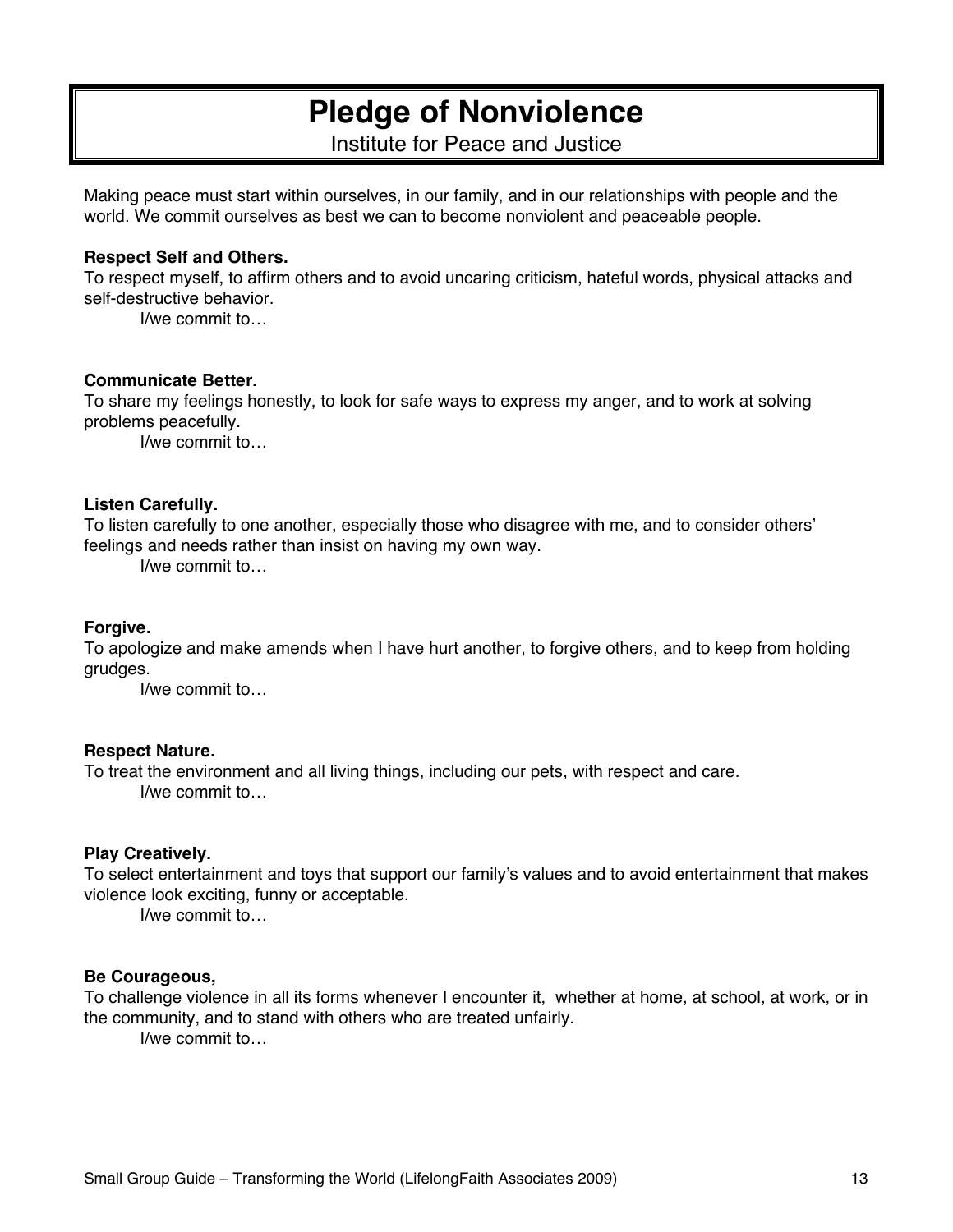# **Pledge of Nonviolence**

Institute for Peace and Justice

Making peace must start within ourselves, in our family, and in our relationships with people and the world. We commit ourselves as best we can to become nonviolent and peaceable people.

#### **Respect Self and Others.**

To respect myself, to affirm others and to avoid uncaring criticism, hateful words, physical attacks and self-destructive behavior.

I/we commit to…

#### **Communicate Better.**

To share my feelings honestly, to look for safe ways to express my anger, and to work at solving problems peacefully.

I/we commit to…

#### **Listen Carefully.**

To listen carefully to one another, especially those who disagree with me, and to consider others' feelings and needs rather than insist on having my own way.

I/we commit to…

#### **Forgive.**

To apologize and make amends when I have hurt another, to forgive others, and to keep from holding grudges.

I/we commit to…

#### **Respect Nature.**

To treat the environment and all living things, including our pets, with respect and care. I/we commit to…

#### **Play Creatively.**

To select entertainment and toys that support our family's values and to avoid entertainment that makes violence look exciting, funny or acceptable.

I/we commit to…

#### **Be Courageous,**

To challenge violence in all its forms whenever I encounter it, whether at home, at school, at work, or in the community, and to stand with others who are treated unfairly.

I/we commit to…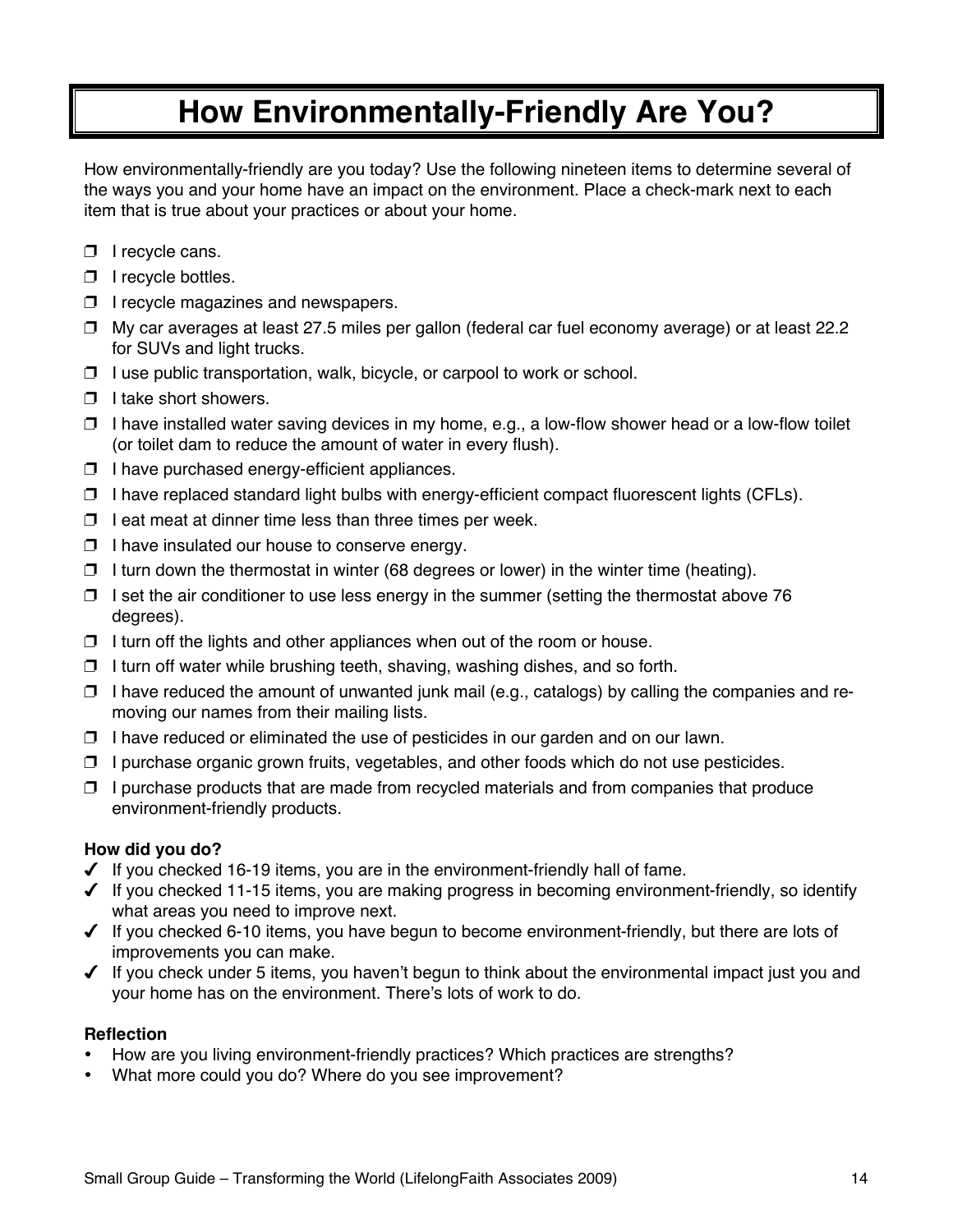# **How Environmentally-Friendly Are You?**

How environmentally-friendly are you today? Use the following nineteen items to determine several of the ways you and your home have an impact on the environment. Place a check-mark next to each item that is true about your practices or about your home.

- $\Box$  I recycle cans.
- $\Box$  I recycle bottles.
- $\Box$  I recycle magazines and newspapers.
- $\Box$  My car averages at least 27.5 miles per gallon (federal car fuel economy average) or at least 22.2 for SUVs and light trucks.
- $\Box$  I use public transportation, walk, bicycle, or carpool to work or school.
- $\Box$  I take short showers.
- $\Box$  I have installed water saving devices in my home, e.g., a low-flow shower head or a low-flow toilet (or toilet dam to reduce the amount of water in every flush).
- $\Box$  I have purchased energy-efficient appliances.
- $\Box$  I have replaced standard light bulbs with energy-efficient compact fluorescent lights (CFLs).
- $\Box$  I eat meat at dinner time less than three times per week.
- $\Box$  I have insulated our house to conserve energy.
- $\Box$  I turn down the thermostat in winter (68 degrees or lower) in the winter time (heating).
- $\Box$  I set the air conditioner to use less energy in the summer (setting the thermostat above 76 degrees).
- $\Box$  I turn off the lights and other appliances when out of the room or house.
- $\Box$  I turn off water while brushing teeth, shaving, washing dishes, and so forth.
- $\Box$  I have reduced the amount of unwanted junk mail (e.g., catalogs) by calling the companies and removing our names from their mailing lists.
- $\Box$  I have reduced or eliminated the use of pesticides in our garden and on our lawn.
- $\Box$  I purchase organic grown fruits, vegetables, and other foods which do not use pesticides.
- $\Box$  I purchase products that are made from recycled materials and from companies that produce environment-friendly products.

#### **How did you do?**

- $\checkmark$  If you checked 16-19 items, you are in the environment-friendly hall of fame.
- $\checkmark$  If you checked 11-15 items, you are making progress in becoming environment-friendly, so identify what areas you need to improve next.
- $\checkmark$  If you checked 6-10 items, you have begun to become environment-friendly, but there are lots of improvements you can make.
- $\checkmark$  If you check under 5 items, you haven't begun to think about the environmental impact just you and your home has on the environment. There's lots of work to do.

#### **Reflection**

- How are you living environment-friendly practices? Which practices are strengths?
- What more could you do? Where do you see improvement?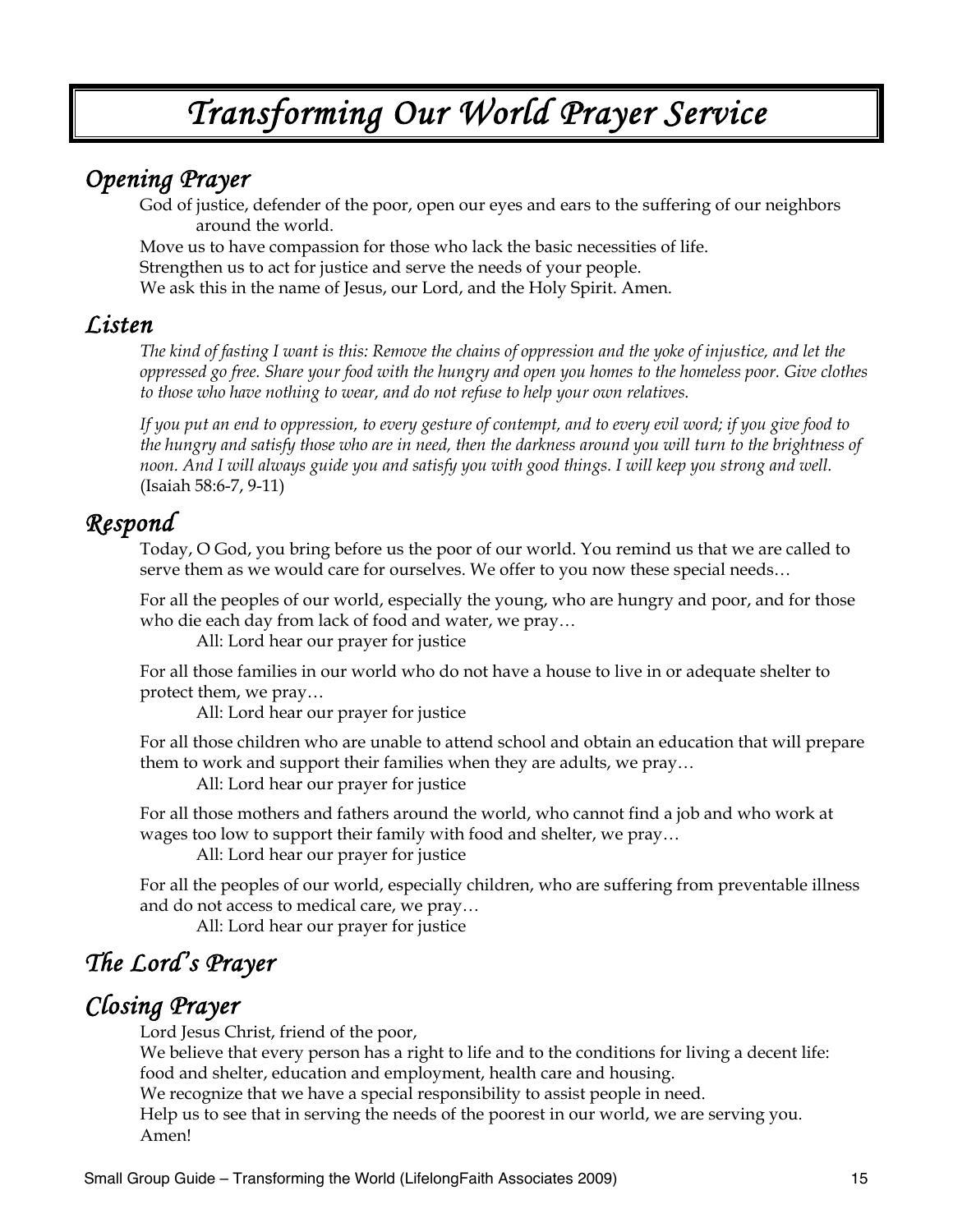# *Transforming Our World Prayer Service*

## *Opening Prayer*

God of justice, defender of the poor, open our eyes and ears to the suffering of our neighbors around the world.

Move us to have compassion for those who lack the basic necessities of life. Strengthen us to act for justice and serve the needs of your people. We ask this in the name of Jesus, our Lord, and the Holy Spirit. Amen.

### *Listen*

*The kind of fasting I want is this: Remove the chains of oppression and the yoke of injustice, and let the oppressed go free. Share your food with the hungry and open you homes to the homeless poor. Give clothes to those who have nothing to wear, and do not refuse to help your own relatives.* 

*If you put an end to oppression, to every gesture of contempt, and to every evil word; if you give food to the hungry and satisfy those who are in need, then the darkness around you will turn to the brightness of noon. And I will always guide you and satisfy you with good things. I will keep you strong and well.* (Isaiah 58:6-7, 9-11)

## *Respond*

Today, O God, you bring before us the poor of our world. You remind us that we are called to serve them as we would care for ourselves. We offer to you now these special needs…

For all the peoples of our world, especially the young, who are hungry and poor, and for those who die each day from lack of food and water, we pray…

All: Lord hear our prayer for justice

For all those families in our world who do not have a house to live in or adequate shelter to protect them, we pray…

All: Lord hear our prayer for justice

For all those children who are unable to attend school and obtain an education that will prepare them to work and support their families when they are adults, we pray…

All: Lord hear our prayer for justice

For all those mothers and fathers around the world, who cannot find a job and who work at wages too low to support their family with food and shelter, we pray…

All: Lord hear our prayer for justice

For all the peoples of our world, especially children, who are suffering from preventable illness and do not access to medical care, we pray…

All: Lord hear our prayer for justice

# *The Lord's Prayer*

## *Closing Prayer*

Lord Jesus Christ, friend of the poor,

We believe that every person has a right to life and to the conditions for living a decent life: food and shelter, education and employment, health care and housing.

We recognize that we have a special responsibility to assist people in need.

Help us to see that in serving the needs of the poorest in our world, we are serving you. Amen!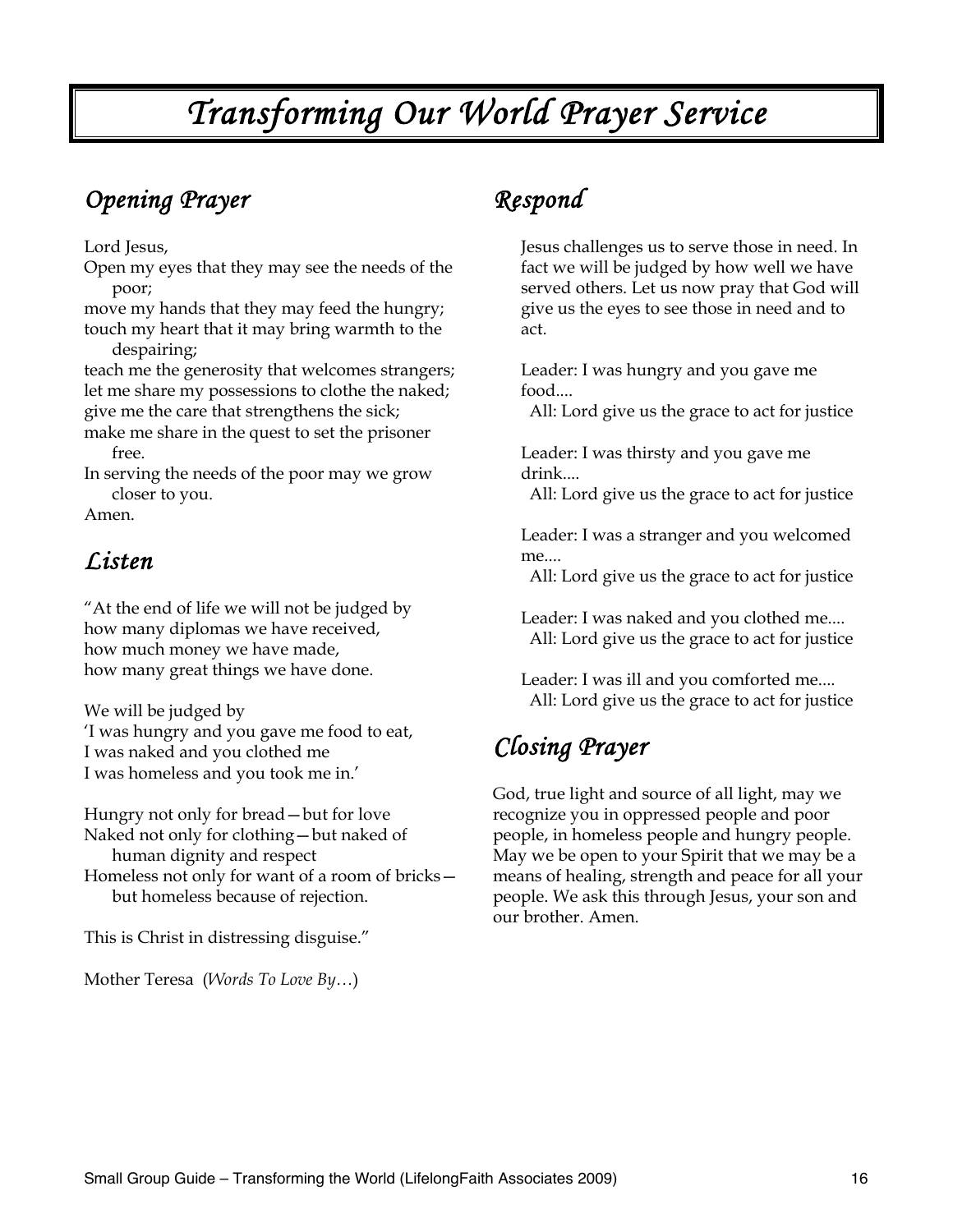# *Transforming Our World Prayer Service*

# *Opening Prayer*

Lord Jesus,

Open my eyes that they may see the needs of the poor;

move my hands that they may feed the hungry; touch my heart that it may bring warmth to the

despairing;

teach me the generosity that welcomes strangers; let me share my possessions to clothe the naked; give me the care that strengthens the sick;

make me share in the quest to set the prisoner free.

In serving the needs of the poor may we grow closer to you.

Amen.

# *Listen*

"At the end of life we will not be judged by how many diplomas we have received, how much money we have made, how many great things we have done.

We will be judged by 'I was hungry and you gave me food to eat, I was naked and you clothed me I was homeless and you took me in.'

Hungry not only for bread—but for love Naked not only for clothing—but naked of human dignity and respect

Homeless not only for want of a room of bricks but homeless because of rejection.

This is Christ in distressing disguise."

Mother Teresa (*Words To Love By…*)

# *Respond*

Jesus challenges us to serve those in need. In fact we will be judged by how well we have served others. Let us now pray that God will give us the eyes to see those in need and to act.

Leader: I was hungry and you gave me food....

All: Lord give us the grace to act for justice

Leader: I was thirsty and you gave me drink....

All: Lord give us the grace to act for justice

Leader: I was a stranger and you welcomed me....

All: Lord give us the grace to act for justice

Leader: I was naked and you clothed me.... All: Lord give us the grace to act for justice

Leader: I was ill and you comforted me.... All: Lord give us the grace to act for justice

# *Closing Prayer*

God, true light and source of all light, may we recognize you in oppressed people and poor people, in homeless people and hungry people. May we be open to your Spirit that we may be a means of healing, strength and peace for all your people. We ask this through Jesus, your son and our brother. Amen.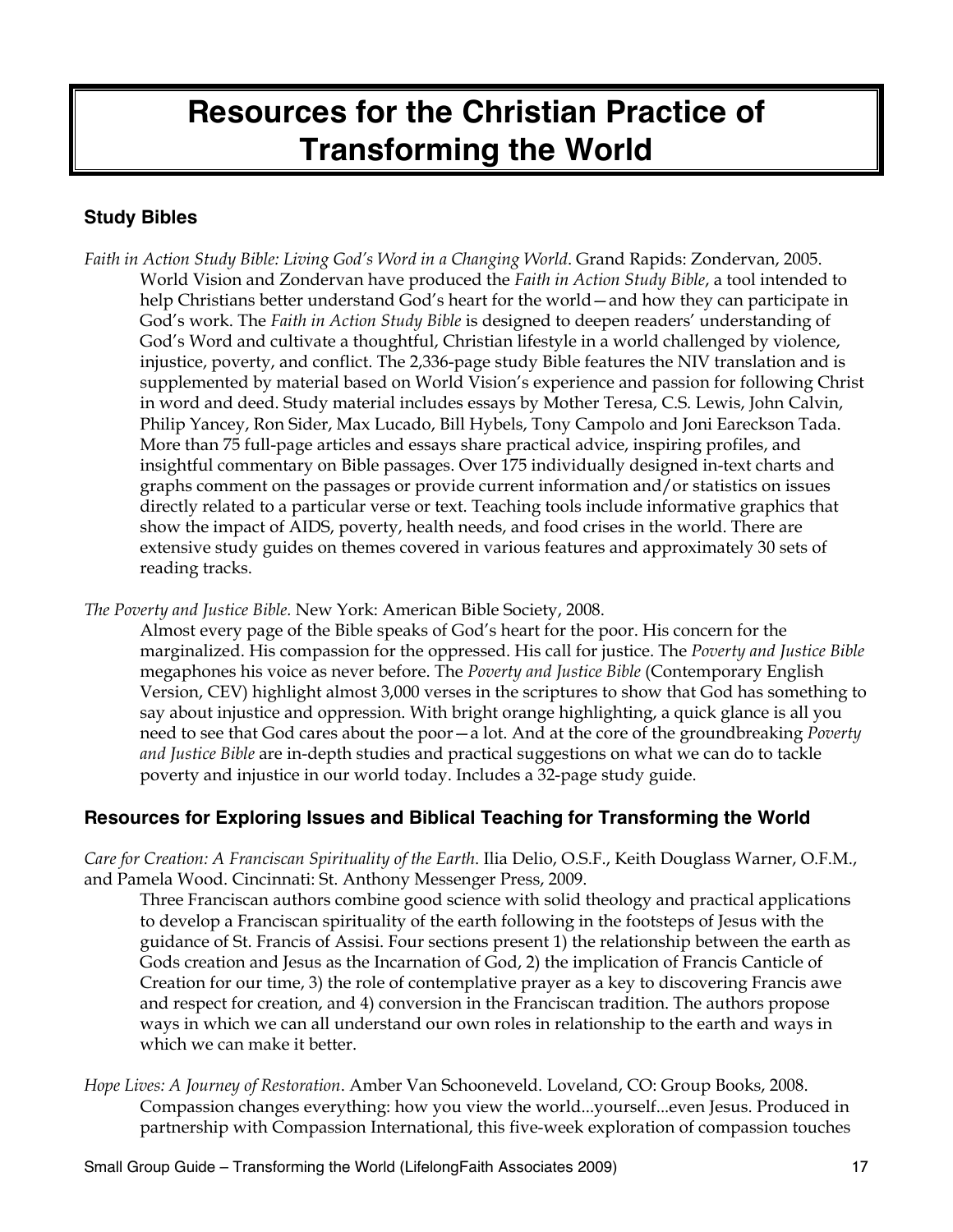# **Resources for the Christian Practice of Transforming the World**

### **Study Bibles**

*Faith in Action Study Bible: Living God's Word in a Changing World*. Grand Rapids: Zondervan, 2005. World Vision and Zondervan have produced the *Faith in Action Study Bible*, a tool intended to help Christians better understand God's heart for the world—and how they can participate in God's work. The *Faith in Action Study Bible* is designed to deepen readers' understanding of God's Word and cultivate a thoughtful, Christian lifestyle in a world challenged by violence, injustice, poverty, and conflict. The 2,336-page study Bible features the NIV translation and is supplemented by material based on World Vision's experience and passion for following Christ in word and deed. Study material includes essays by Mother Teresa, C.S. Lewis, John Calvin, Philip Yancey, Ron Sider, Max Lucado, Bill Hybels, Tony Campolo and Joni Eareckson Tada. More than 75 full-page articles and essays share practical advice, inspiring profiles, and insightful commentary on Bible passages. Over 175 individually designed in-text charts and graphs comment on the passages or provide current information and/or statistics on issues directly related to a particular verse or text. Teaching tools include informative graphics that show the impact of AIDS, poverty, health needs, and food crises in the world. There are extensive study guides on themes covered in various features and approximately 30 sets of reading tracks.

*The Poverty and Justice Bible.* New York: American Bible Society, 2008.

Almost every page of the Bible speaks of God's heart for the poor. His concern for the marginalized. His compassion for the oppressed. His call for justice. The *Poverty and Justice Bible* megaphones his voice as never before. The *Poverty and Justice Bible* (Contemporary English Version, CEV) highlight almost 3,000 verses in the scriptures to show that God has something to say about injustice and oppression. With bright orange highlighting, a quick glance is all you need to see that God cares about the poor—a lot. And at the core of the groundbreaking *Poverty and Justice Bible* are in-depth studies and practical suggestions on what we can do to tackle poverty and injustice in our world today. Includes a 32-page study guide.

### **Resources for Exploring Issues and Biblical Teaching for Transforming the World**

*Care for Creation: A Franciscan Spirituality of the Earth*. Ilia Delio, O.S.F., Keith Douglass Warner, O.F.M., and Pamela Wood. Cincinnati: St. Anthony Messenger Press, 2009.

Three Franciscan authors combine good science with solid theology and practical applications to develop a Franciscan spirituality of the earth following in the footsteps of Jesus with the guidance of St. Francis of Assisi. Four sections present 1) the relationship between the earth as Gods creation and Jesus as the Incarnation of God, 2) the implication of Francis Canticle of Creation for our time, 3) the role of contemplative prayer as a key to discovering Francis awe and respect for creation, and 4) conversion in the Franciscan tradition. The authors propose ways in which we can all understand our own roles in relationship to the earth and ways in which we can make it better.

*Hope Lives: A Journey of Restoration*. Amber Van Schooneveld. Loveland, CO: Group Books, 2008. Compassion changes everything: how you view the world...yourself...even Jesus. Produced in partnership with Compassion International, this five-week exploration of compassion touches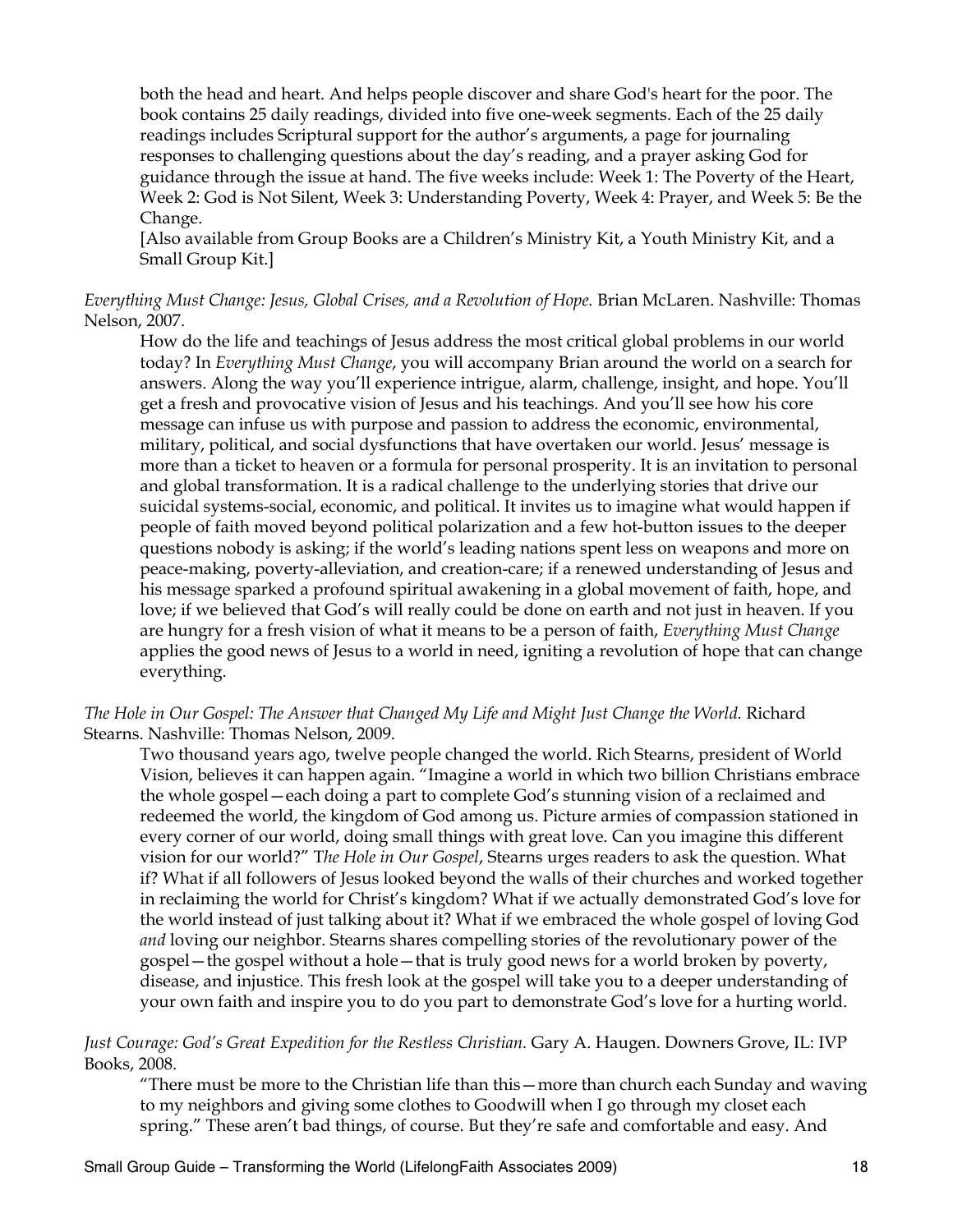both the head and heart. And helps people discover and share God's heart for the poor. The book contains 25 daily readings, divided into five one-week segments. Each of the 25 daily readings includes Scriptural support for the author's arguments, a page for journaling responses to challenging questions about the day's reading, and a prayer asking God for guidance through the issue at hand. The five weeks include: Week 1: The Poverty of the Heart, Week 2: God is Not Silent, Week 3: Understanding Poverty, Week 4: Prayer, and Week 5: Be the Change.

[Also available from Group Books are a Children's Ministry Kit, a Youth Ministry Kit, and a Small Group Kit.]

*Everything Must Change: Jesus, Global Crises, and a Revolution of Hope.* Brian McLaren. Nashville: Thomas Nelson, 2007.

How do the life and teachings of Jesus address the most critical global problems in our world today? In *Everything Must Change*, you will accompany Brian around the world on a search for answers. Along the way you'll experience intrigue, alarm, challenge, insight, and hope. You'll get a fresh and provocative vision of Jesus and his teachings. And you'll see how his core message can infuse us with purpose and passion to address the economic, environmental, military, political, and social dysfunctions that have overtaken our world. Jesus' message is more than a ticket to heaven or a formula for personal prosperity. It is an invitation to personal and global transformation. It is a radical challenge to the underlying stories that drive our suicidal systems-social, economic, and political. It invites us to imagine what would happen if people of faith moved beyond political polarization and a few hot-button issues to the deeper questions nobody is asking; if the world's leading nations spent less on weapons and more on peace-making, poverty-alleviation, and creation-care; if a renewed understanding of Jesus and his message sparked a profound spiritual awakening in a global movement of faith, hope, and love; if we believed that God's will really could be done on earth and not just in heaven. If you are hungry for a fresh vision of what it means to be a person of faith, *Everything Must Change* applies the good news of Jesus to a world in need, igniting a revolution of hope that can change everything.

*The Hole in Our Gospel: The Answer that Changed My Life and Might Just Change the World.* Richard Stearns. Nashville: Thomas Nelson, 2009.

Two thousand years ago, twelve people changed the world. Rich Stearns, president of World Vision, believes it can happen again. "Imagine a world in which two billion Christians embrace the whole gospel—each doing a part to complete God's stunning vision of a reclaimed and redeemed the world, the kingdom of God among us. Picture armies of compassion stationed in every corner of our world, doing small things with great love. Can you imagine this different vision for our world?" T*he Hole in Our Gospel*, Stearns urges readers to ask the question. What if? What if all followers of Jesus looked beyond the walls of their churches and worked together in reclaiming the world for Christ's kingdom? What if we actually demonstrated God's love for the world instead of just talking about it? What if we embraced the whole gospel of loving God *and* loving our neighbor. Stearns shares compelling stories of the revolutionary power of the gospel—the gospel without a hole—that is truly good news for a world broken by poverty, disease, and injustice. This fresh look at the gospel will take you to a deeper understanding of your own faith and inspire you to do you part to demonstrate God's love for a hurting world.

#### *Just Courage: God's Great Expedition for the Restless Christian.* Gary A. Haugen. Downers Grove, IL: IVP Books, 2008.

"There must be more to the Christian life than this—more than church each Sunday and waving to my neighbors and giving some clothes to Goodwill when I go through my closet each spring." These aren't bad things, of course. But they're safe and comfortable and easy. And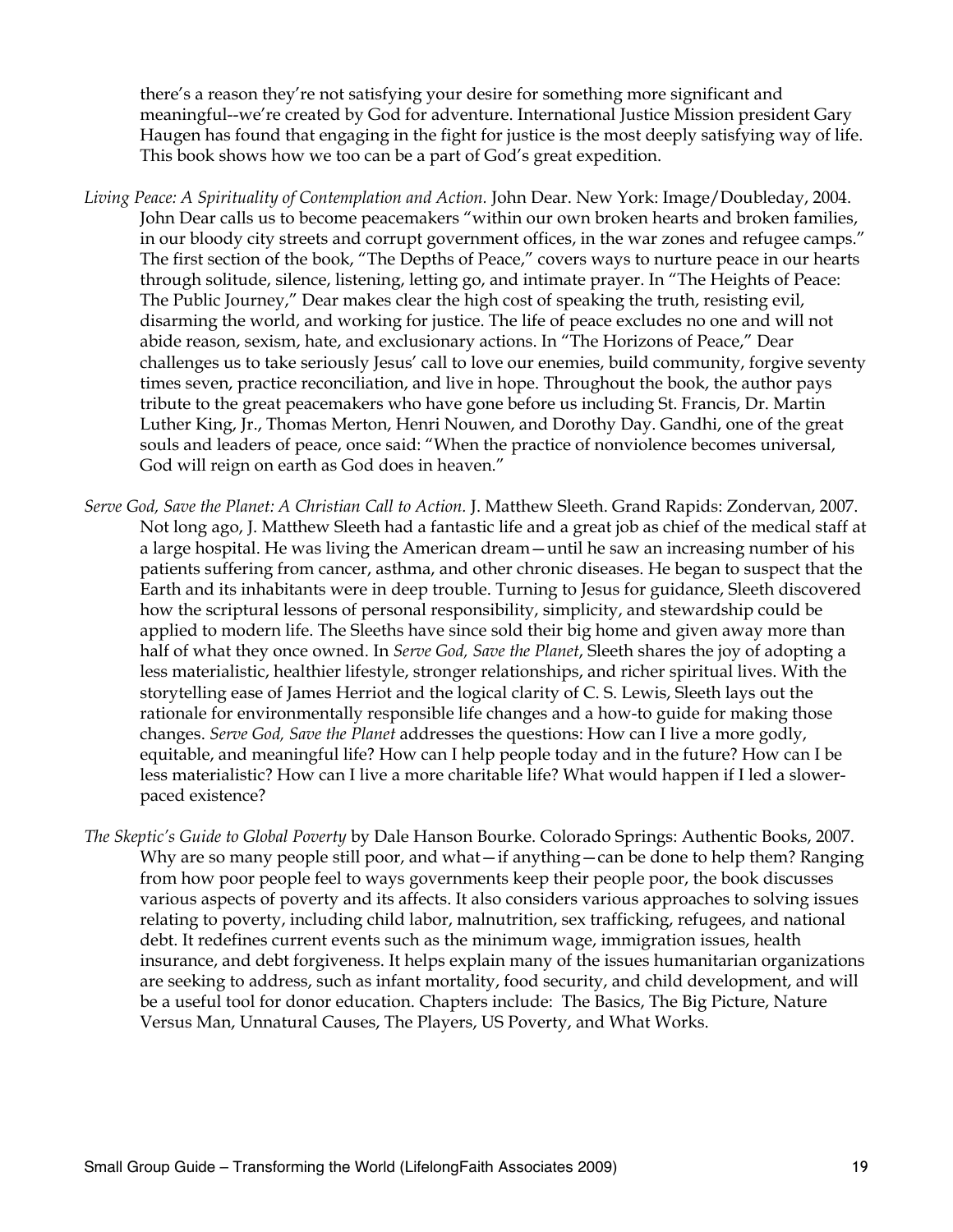there's a reason they're not satisfying your desire for something more significant and meaningful--we're created by God for adventure. International Justice Mission president Gary Haugen has found that engaging in the fight for justice is the most deeply satisfying way of life. This book shows how we too can be a part of God's great expedition.

- *Living Peace: A Spirituality of Contemplation and Action.* John Dear. New York: Image/Doubleday, 2004. John Dear calls us to become peacemakers "within our own broken hearts and broken families, in our bloody city streets and corrupt government offices, in the war zones and refugee camps." The first section of the book, "The Depths of Peace," covers ways to nurture peace in our hearts through solitude, silence, listening, letting go, and intimate prayer. In "The Heights of Peace: The Public Journey," Dear makes clear the high cost of speaking the truth, resisting evil, disarming the world, and working for justice. The life of peace excludes no one and will not abide reason, sexism, hate, and exclusionary actions. In "The Horizons of Peace," Dear challenges us to take seriously Jesus' call to love our enemies, build community, forgive seventy times seven, practice reconciliation, and live in hope. Throughout the book, the author pays tribute to the great peacemakers who have gone before us including St. Francis, Dr. Martin Luther King, Jr., Thomas Merton, Henri Nouwen, and Dorothy Day. Gandhi, one of the great souls and leaders of peace, once said: "When the practice of nonviolence becomes universal, God will reign on earth as God does in heaven."
- *Serve God, Save the Planet: A Christian Call to Action.* J. Matthew Sleeth. Grand Rapids: Zondervan, 2007. Not long ago, J. Matthew Sleeth had a fantastic life and a great job as chief of the medical staff at a large hospital. He was living the American dream—until he saw an increasing number of his patients suffering from cancer, asthma, and other chronic diseases. He began to suspect that the Earth and its inhabitants were in deep trouble. Turning to Jesus for guidance, Sleeth discovered how the scriptural lessons of personal responsibility, simplicity, and stewardship could be applied to modern life. The Sleeths have since sold their big home and given away more than half of what they once owned. In *Serve God, Save the Planet*, Sleeth shares the joy of adopting a less materialistic, healthier lifestyle, stronger relationships, and richer spiritual lives. With the storytelling ease of James Herriot and the logical clarity of C. S. Lewis, Sleeth lays out the rationale for environmentally responsible life changes and a how-to guide for making those changes. *Serve God, Save the Planet* addresses the questions: How can I live a more godly, equitable, and meaningful life? How can I help people today and in the future? How can I be less materialistic? How can I live a more charitable life? What would happen if I led a slowerpaced existence?
- *The Skeptic's Guide to Global Poverty* by Dale Hanson Bourke. Colorado Springs: Authentic Books, 2007. Why are so many people still poor, and what—if anything—can be done to help them? Ranging from how poor people feel to ways governments keep their people poor, the book discusses various aspects of poverty and its affects. It also considers various approaches to solving issues relating to poverty, including child labor, malnutrition, sex trafficking, refugees, and national debt. It redefines current events such as the minimum wage, immigration issues, health insurance, and debt forgiveness. It helps explain many of the issues humanitarian organizations are seeking to address, such as infant mortality, food security, and child development, and will be a useful tool for donor education. Chapters include: The Basics, The Big Picture, Nature Versus Man, Unnatural Causes, The Players, US Poverty, and What Works.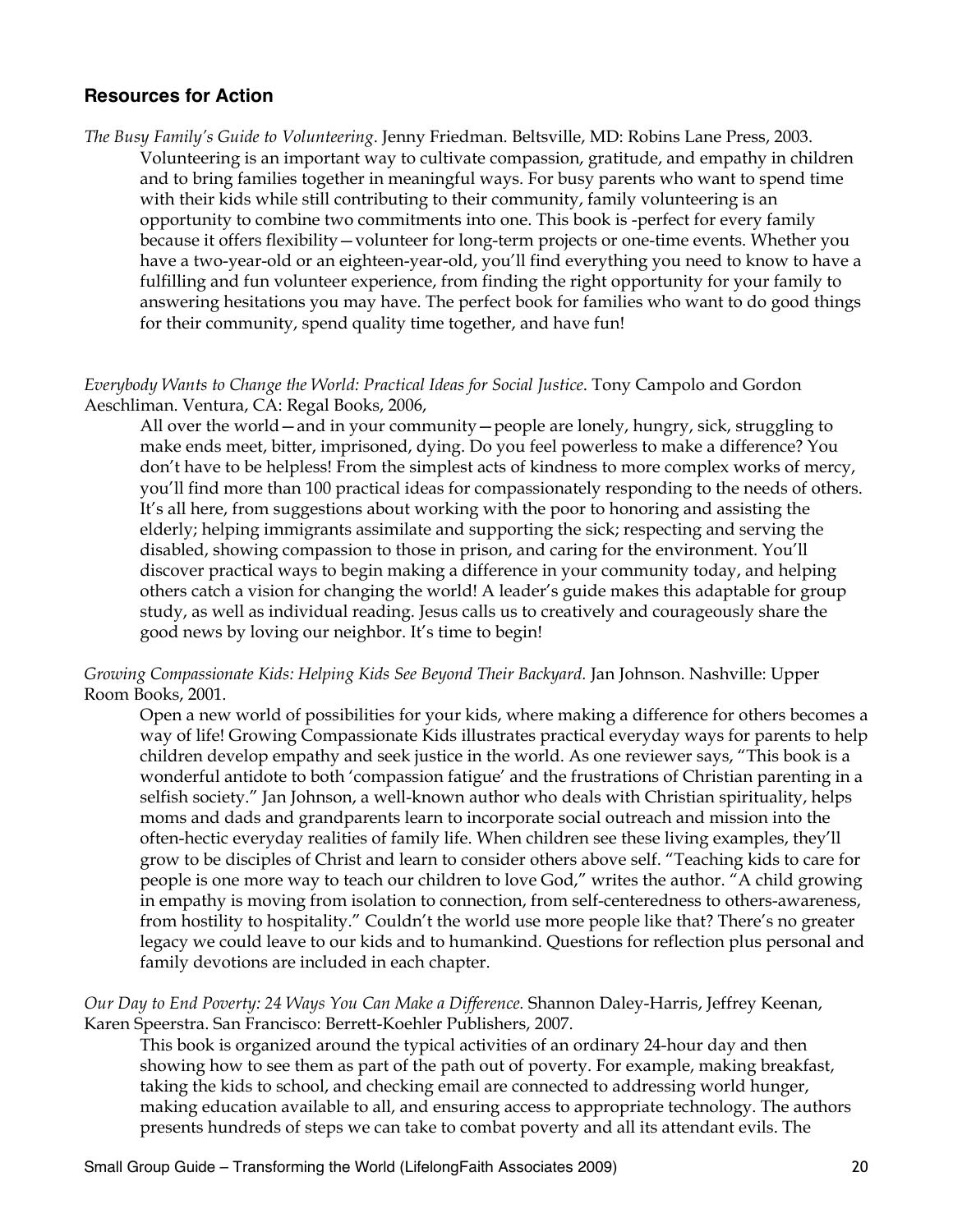#### **Resources for Action**

*The Busy Family's Guide to Volunteering*. Jenny Friedman. Beltsville, MD: Robins Lane Press, 2003. Volunteering is an important way to cultivate compassion, gratitude, and empathy in children and to bring families together in meaningful ways. For busy parents who want to spend time with their kids while still contributing to their community, family volunteering is an opportunity to combine two commitments into one. This book is -perfect for every family because it offers flexibility—volunteer for long-term projects or one-time events. Whether you have a two-year-old or an eighteen-year-old, you'll find everything you need to know to have a fulfilling and fun volunteer experience, from finding the right opportunity for your family to answering hesitations you may have. The perfect book for families who want to do good things for their community, spend quality time together, and have fun!

#### *Everybody Wants to Change the World: Practical Ideas for Social Justice*. Tony Campolo and Gordon Aeschliman. Ventura, CA: Regal Books, 2006,

All over the world—and in your community—people are lonely, hungry, sick, struggling to make ends meet, bitter, imprisoned, dying. Do you feel powerless to make a difference? You don't have to be helpless! From the simplest acts of kindness to more complex works of mercy, you'll find more than 100 practical ideas for compassionately responding to the needs of others. It's all here, from suggestions about working with the poor to honoring and assisting the elderly; helping immigrants assimilate and supporting the sick; respecting and serving the disabled, showing compassion to those in prison, and caring for the environment. You'll discover practical ways to begin making a difference in your community today, and helping others catch a vision for changing the world! A leader's guide makes this adaptable for group study, as well as individual reading. Jesus calls us to creatively and courageously share the good news by loving our neighbor. It's time to begin!

#### *Growing Compassionate Kids: Helping Kids See Beyond Their Backyard.* Jan Johnson. Nashville: Upper Room Books, 2001.

Open a new world of possibilities for your kids, where making a difference for others becomes a way of life! Growing Compassionate Kids illustrates practical everyday ways for parents to help children develop empathy and seek justice in the world. As one reviewer says, "This book is a wonderful antidote to both 'compassion fatigue' and the frustrations of Christian parenting in a selfish society." Jan Johnson, a well-known author who deals with Christian spirituality, helps moms and dads and grandparents learn to incorporate social outreach and mission into the often-hectic everyday realities of family life. When children see these living examples, they'll grow to be disciples of Christ and learn to consider others above self. "Teaching kids to care for people is one more way to teach our children to love God," writes the author. "A child growing in empathy is moving from isolation to connection, from self-centeredness to others-awareness, from hostility to hospitality." Couldn't the world use more people like that? There's no greater legacy we could leave to our kids and to humankind. Questions for reflection plus personal and family devotions are included in each chapter.

#### *Our Day to End Poverty: 24 Ways You Can Make a Difference.* Shannon Daley-Harris, Jeffrey Keenan, Karen Speerstra. San Francisco: Berrett-Koehler Publishers, 2007.

This book is organized around the typical activities of an ordinary 24-hour day and then showing how to see them as part of the path out of poverty. For example, making breakfast, taking the kids to school, and checking email are connected to addressing world hunger, making education available to all, and ensuring access to appropriate technology. The authors presents hundreds of steps we can take to combat poverty and all its attendant evils. The